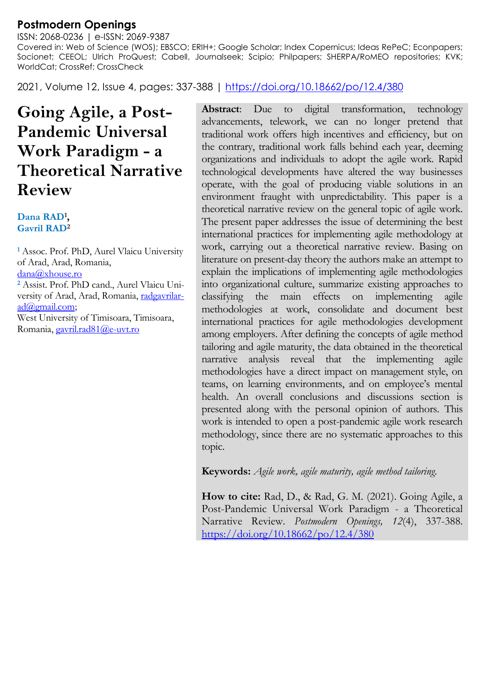# **Postmodern Openings**

ISSN: 2068-0236 | e-ISSN: 2069-9387 Covered in: Web of Science (WOS); EBSCO; ERIH+; Google Scholar; Index Copernicus; Ideas RePeC; Econpapers; Socionet; CEEOL; Ulrich ProQuest; Cabell, Journalseek; Scipio; Philpapers; SHERPA/RoMEO repositories; KVK; WorldCat; CrossRef; CrossCheck

2021, Volume 12, Issue 4, pages: 337-388 |<https://doi.org/10.18662/po/12.4/380>

# **Going Agile, a Post-Pandemic Universal Work Paradigm - a Theoretical Narrative Review**

**Dana RAD<sup>1</sup> , Gavril RAD<sup>2</sup>**

**<sup>1</sup>** Assoc. Prof. PhD, Aurel Vlaicu University of Arad, Arad, Romania, [dana@xhouse.ro](mailto:dana@xhouse.ro)  **<sup>2</sup>** Assist. Prof. PhD cand., Aurel Vlaicu University of Arad, Arad, Romania, [radgavrilar](mailto:radgavrilarad@gmail.com)[ad@gmail.com;](mailto:radgavrilarad@gmail.com) West University of Timisoara, Timisoara, Romania[, gavril.rad81@e-uvt.ro](mailto:gavril.rad81@e-uvt.ro)

**Abstract**: Due to digital transformation, technology advancements, telework, we can no longer pretend that traditional work offers high incentives and efficiency, but on the contrary, traditional work falls behind each year, deeming organizations and individuals to adopt the agile work. Rapid technological developments have altered the way businesses operate, with the goal of producing viable solutions in an environment fraught with unpredictability. This paper is a theoretical narrative review on the general topic of agile work. The present paper addresses the issue of determining the best international practices for implementing agile methodology at work, carrying out a theoretical narrative review. Basing on literature on present-day theory the authors make an attempt to explain the implications of implementing agile methodologies into organizational culture, summarize existing approaches to classifying the main effects on implementing agile methodologies at work, consolidate and document best international practices for agile methodologies development among employers. After defining the concepts of agile method tailoring and agile maturity, the data obtained in the theoretical narrative analysis reveal that the implementing agile methodologies have a direct impact on management style, on teams, on learning environments, and on employee's mental health. An overall conclusions and discussions section is presented along with the personal opinion of authors. This work is intended to open a post-pandemic agile work research methodology, since there are no systematic approaches to this topic.

**Keywords:** *Agile work, agile maturity, agile method tailoring.*

**How to cite:** Rad, D., & Rad, G. M. (2021). Going Agile, a Post-Pandemic Universal Work Paradigm - a Theoretical Narrative Review. *Postmodern Openings, 12*(4), 337-388. <https://doi.org/10.18662/po/12.4/380>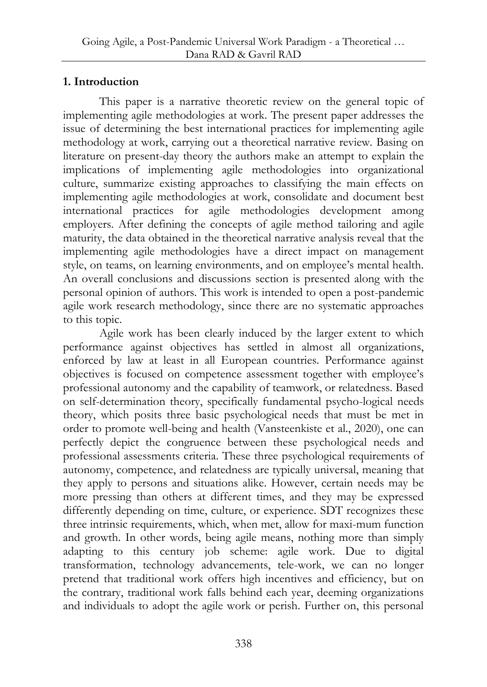## **1. Introduction**

This paper is a narrative theoretic review on the general topic of implementing agile methodologies at work. The present paper addresses the issue of determining the best international practices for implementing agile methodology at work, carrying out a theoretical narrative review. Basing on literature on present-day theory the authors make an attempt to explain the implications of implementing agile methodologies into organizational culture, summarize existing approaches to classifying the main effects on implementing agile methodologies at work, consolidate and document best international practices for agile methodologies development among employers. After defining the concepts of agile method tailoring and agile maturity, the data obtained in the theoretical narrative analysis reveal that the implementing agile methodologies have a direct impact on management style, on teams, on learning environments, and on employee's mental health. An overall conclusions and discussions section is presented along with the personal opinion of authors. This work is intended to open a post-pandemic agile work research methodology, since there are no systematic approaches to this topic.

Agile work has been clearly induced by the larger extent to which performance against objectives has settled in almost all organizations, enforced by law at least in all European countries. Performance against objectives is focused on competence assessment together with employee's professional autonomy and the capability of teamwork, or relatedness. Based on self-determination theory, specifically fundamental psycho-logical needs theory, which posits three basic psychological needs that must be met in order to promote well-being and health (Vansteenkiste et al., 2020), one can perfectly depict the congruence between these psychological needs and professional assessments criteria. These three psychological requirements of autonomy, competence, and relatedness are typically universal, meaning that they apply to persons and situations alike. However, certain needs may be more pressing than others at different times, and they may be expressed differently depending on time, culture, or experience. SDT recognizes these three intrinsic requirements, which, when met, allow for maxi-mum function and growth. In other words, being agile means, nothing more than simply adapting to this century job scheme: agile work. Due to digital transformation, technology advancements, tele-work, we can no longer pretend that traditional work offers high incentives and efficiency, but on the contrary, traditional work falls behind each year, deeming organizations and individuals to adopt the agile work or perish. Further on, this personal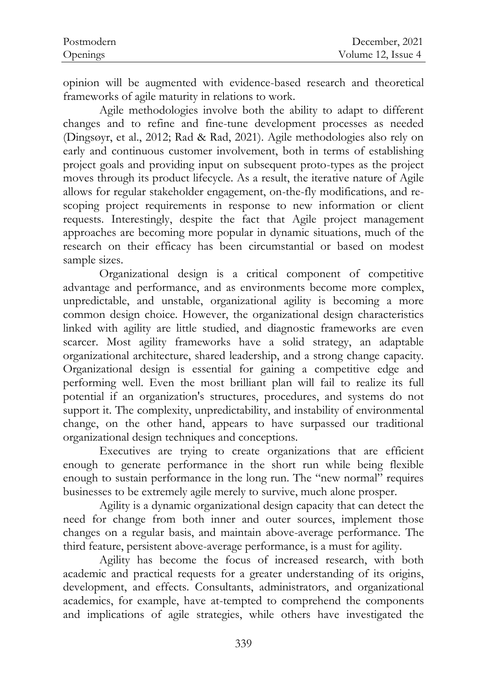| Postmodern | December, 2021     |
|------------|--------------------|
| Openings   | Volume 12, Issue 4 |

opinion will be augmented with evidence-based research and theoretical frameworks of agile maturity in relations to work.

Agile methodologies involve both the ability to adapt to different changes and to refine and fine-tune development processes as needed (Dingsøyr, et al., 2012; Rad & Rad, 2021). Agile methodologies also rely on early and continuous customer involvement, both in terms of establishing project goals and providing input on subsequent proto-types as the project moves through its product lifecycle. As a result, the iterative nature of Agile allows for regular stakeholder engagement, on-the-fly modifications, and rescoping project requirements in response to new information or client requests. Interestingly, despite the fact that Agile project management approaches are becoming more popular in dynamic situations, much of the research on their efficacy has been circumstantial or based on modest sample sizes.

Organizational design is a critical component of competitive advantage and performance, and as environments become more complex, unpredictable, and unstable, organizational agility is becoming a more common design choice. However, the organizational design characteristics linked with agility are little studied, and diagnostic frameworks are even scarcer. Most agility frameworks have a solid strategy, an adaptable organizational architecture, shared leadership, and a strong change capacity. Organizational design is essential for gaining a competitive edge and performing well. Even the most brilliant plan will fail to realize its full potential if an organization's structures, procedures, and systems do not support it. The complexity, unpredictability, and instability of environmental change, on the other hand, appears to have surpassed our traditional organizational design techniques and conceptions.

Executives are trying to create organizations that are efficient enough to generate performance in the short run while being flexible enough to sustain performance in the long run. The "new normal" requires businesses to be extremely agile merely to survive, much alone prosper.

Agility is a dynamic organizational design capacity that can detect the need for change from both inner and outer sources, implement those changes on a regular basis, and maintain above-average performance. The third feature, persistent above-average performance, is a must for agility.

Agility has become the focus of increased research, with both academic and practical requests for a greater understanding of its origins, development, and effects. Consultants, administrators, and organizational academics, for example, have at-tempted to comprehend the components and implications of agile strategies, while others have investigated the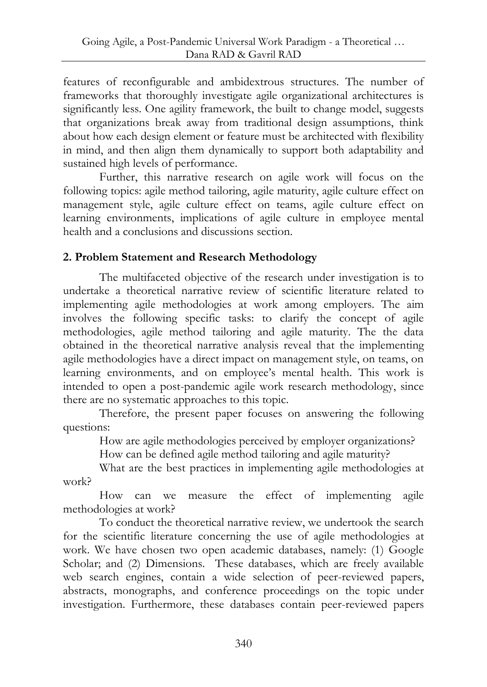features of reconfigurable and ambidextrous structures. The number of frameworks that thoroughly investigate agile organizational architectures is significantly less. One agility framework, the built to change model, suggests that organizations break away from traditional design assumptions, think about how each design element or feature must be architected with flexibility in mind, and then align them dynamically to support both adaptability and sustained high levels of performance.

Further, this narrative research on agile work will focus on the following topics: agile method tailoring, agile maturity, agile culture effect on management style, agile culture effect on teams, agile culture effect on learning environments, implications of agile culture in employee mental health and a conclusions and discussions section.

# **2. Problem Statement and Research Methodology**

The multifaceted objective of the research under investigation is to undertake a theoretical narrative review of scientific literature related to implementing agile methodologies at work among employers. The aim involves the following specific tasks: to clarify the concept of agile methodologies, agile method tailoring and agile maturity. The the data obtained in the theoretical narrative analysis reveal that the implementing agile methodologies have a direct impact on management style, on teams, on learning environments, and on employee's mental health. This work is intended to open a post-pandemic agile work research methodology, since there are no systematic approaches to this topic.

Therefore, the present paper focuses on answering the following questions:

How are agile methodologies perceived by employer organizations?

How can be defined agile method tailoring and agile maturity?

What are the best practices in implementing agile methodologies at work?

How can we measure the effect of implementing agile methodologies at work?

To conduct the theoretical narrative review, we undertook the search for the scientific literature concerning the use of agile methodologies at work. We have chosen two open academic databases, namely: (1) Google Scholar; and (2) Dimensions. These databases, which are freely available web search engines, contain a wide selection of peer-reviewed papers, abstracts, monographs, and conference proceedings on the topic under investigation. Furthermore, these databases contain peer-reviewed papers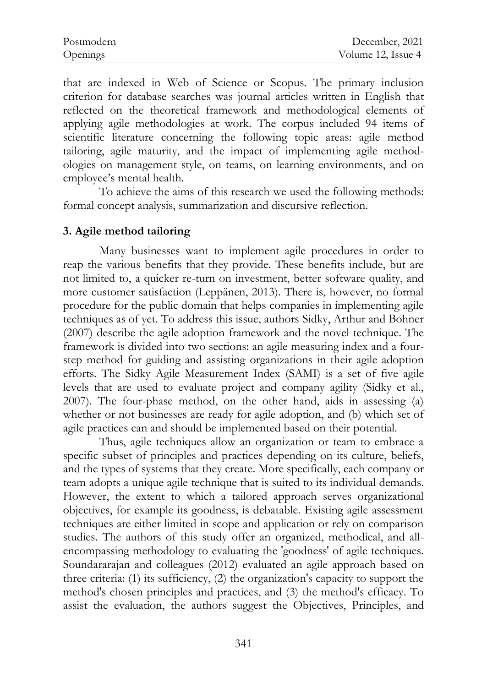| Postmodern | December, 2021     |
|------------|--------------------|
| Openings   | Volume 12, Issue 4 |

that are indexed in Web of Science or Scopus. The primary inclusion criterion for database searches was journal articles written in English that reflected on the theoretical framework and methodological elements of applying agile methodologies at work. The corpus included 94 items of scientific literature concerning the following topic areas: agile method tailoring, agile maturity, and the impact of implementing agile methodologies on management style, on teams, on learning environments, and on employee's mental health.

To achieve the aims of this research we used the following methods: formal concept analysis, summarization and discursive reflection.

#### **3. Agile method tailoring**

Many businesses want to implement agile procedures in order to reap the various benefits that they provide. These benefits include, but are not limited to, a quicker re-turn on investment, better software quality, and more customer satisfaction (Leppänen, 2013). There is, however, no formal procedure for the public domain that helps companies in implementing agile techniques as of yet. To address this issue, authors Sidky, Arthur and Bohner (2007) describe the agile adoption framework and the novel technique. The framework is divided into two sections: an agile measuring index and a fourstep method for guiding and assisting organizations in their agile adoption efforts. The Sidky Agile Measurement Index (SAMI) is a set of five agile levels that are used to evaluate project and company agility (Sidky et al., 2007). The four-phase method, on the other hand, aids in assessing (a) whether or not businesses are ready for agile adoption, and (b) which set of agile practices can and should be implemented based on their potential.

Thus, agile techniques allow an organization or team to embrace a specific subset of principles and practices depending on its culture, beliefs, and the types of systems that they create. More specifically, each company or team adopts a unique agile technique that is suited to its individual demands. However, the extent to which a tailored approach serves organizational objectives, for example its goodness, is debatable. Existing agile assessment techniques are either limited in scope and application or rely on comparison studies. The authors of this study offer an organized, methodical, and allencompassing methodology to evaluating the 'goodness' of agile techniques. Soundararajan and colleagues (2012) evaluated an agile approach based on three criteria: (1) its sufficiency, (2) the organization's capacity to support the method's chosen principles and practices, and (3) the method's efficacy. To assist the evaluation, the authors suggest the Objectives, Principles, and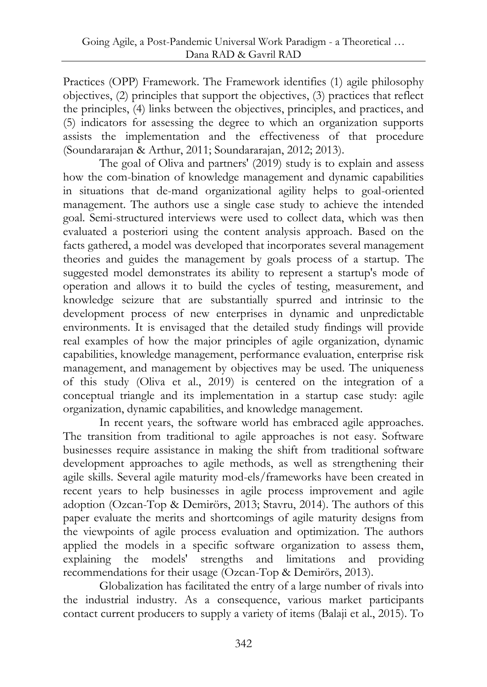Practices (OPP) Framework. The Framework identifies (1) agile philosophy objectives, (2) principles that support the objectives, (3) practices that reflect the principles, (4) links between the objectives, principles, and practices, and (5) indicators for assessing the degree to which an organization supports assists the implementation and the effectiveness of that procedure (Soundararajan & Arthur, 2011; Soundararajan, 2012; 2013).

The goal of Oliva and partners' (2019) study is to explain and assess how the com-bination of knowledge management and dynamic capabilities in situations that de-mand organizational agility helps to goal-oriented management. The authors use a single case study to achieve the intended goal. Semi-structured interviews were used to collect data, which was then evaluated a posteriori using the content analysis approach. Based on the facts gathered, a model was developed that incorporates several management theories and guides the management by goals process of a startup. The suggested model demonstrates its ability to represent a startup's mode of operation and allows it to build the cycles of testing, measurement, and knowledge seizure that are substantially spurred and intrinsic to the development process of new enterprises in dynamic and unpredictable environments. It is envisaged that the detailed study findings will provide real examples of how the major principles of agile organization, dynamic capabilities, knowledge management, performance evaluation, enterprise risk management, and management by objectives may be used. The uniqueness of this study (Oliva et al., 2019) is centered on the integration of a conceptual triangle and its implementation in a startup case study: agile organization, dynamic capabilities, and knowledge management.

In recent years, the software world has embraced agile approaches. The transition from traditional to agile approaches is not easy. Software businesses require assistance in making the shift from traditional software development approaches to agile methods, as well as strengthening their agile skills. Several agile maturity mod-els/frameworks have been created in recent years to help businesses in agile process improvement and agile adoption (Ozcan-Top & Demirörs, 2013; Stavru, 2014). The authors of this paper evaluate the merits and shortcomings of agile maturity designs from the viewpoints of agile process evaluation and optimization. The authors applied the models in a specific software organization to assess them, explaining the models' strengths and limitations and providing recommendations for their usage (Ozcan-Top & Demirörs, 2013).

Globalization has facilitated the entry of a large number of rivals into the industrial industry. As a consequence, various market participants contact current producers to supply a variety of items (Balaji et al., 2015). To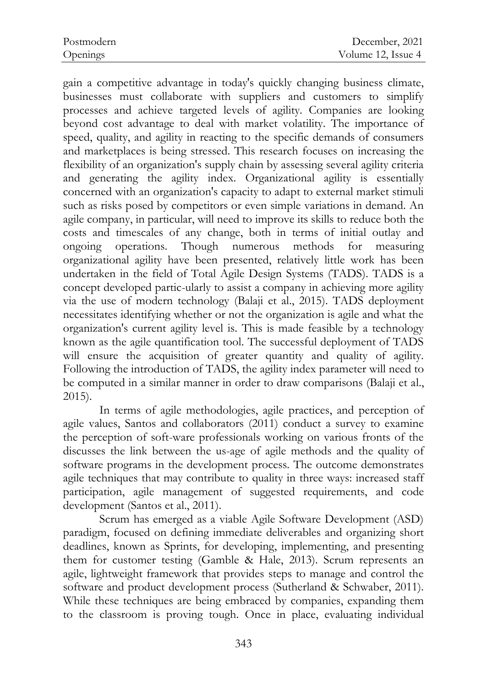gain a competitive advantage in today's quickly changing business climate, businesses must collaborate with suppliers and customers to simplify processes and achieve targeted levels of agility. Companies are looking beyond cost advantage to deal with market volatility. The importance of speed, quality, and agility in reacting to the specific demands of consumers and marketplaces is being stressed. This research focuses on increasing the flexibility of an organization's supply chain by assessing several agility criteria and generating the agility index. Organizational agility is essentially concerned with an organization's capacity to adapt to external market stimuli such as risks posed by competitors or even simple variations in demand. An agile company, in particular, will need to improve its skills to reduce both the costs and timescales of any change, both in terms of initial outlay and ongoing operations. Though numerous methods for measuring organizational agility have been presented, relatively little work has been undertaken in the field of Total Agile Design Systems (TADS). TADS is a concept developed partic-ularly to assist a company in achieving more agility via the use of modern technology (Balaji et al., 2015). TADS deployment necessitates identifying whether or not the organization is agile and what the organization's current agility level is. This is made feasible by a technology known as the agile quantification tool. The successful deployment of TADS will ensure the acquisition of greater quantity and quality of agility. Following the introduction of TADS, the agility index parameter will need to be computed in a similar manner in order to draw comparisons (Balaji et al., 2015).

In terms of agile methodologies, agile practices, and perception of agile values, Santos and collaborators (2011) conduct a survey to examine the perception of soft-ware professionals working on various fronts of the discusses the link between the us-age of agile methods and the quality of software programs in the development process. The outcome demonstrates agile techniques that may contribute to quality in three ways: increased staff participation, agile management of suggested requirements, and code development (Santos et al., 2011).

Scrum has emerged as a viable Agile Software Development (ASD) paradigm, focused on defining immediate deliverables and organizing short deadlines, known as Sprints, for developing, implementing, and presenting them for customer testing (Gamble & Hale, 2013). Scrum represents an agile, lightweight framework that provides steps to manage and control the software and product development process (Sutherland & Schwaber, 2011). While these techniques are being embraced by companies, expanding them to the classroom is proving tough. Once in place, evaluating individual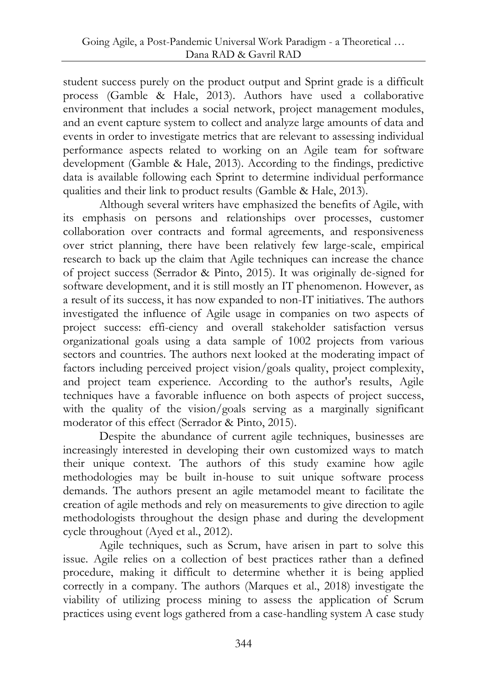student success purely on the product output and Sprint grade is a difficult process (Gamble & Hale, 2013). Authors have used a collaborative environment that includes a social network, project management modules, and an event capture system to collect and analyze large amounts of data and events in order to investigate metrics that are relevant to assessing individual performance aspects related to working on an Agile team for software development (Gamble & Hale, 2013). According to the findings, predictive data is available following each Sprint to determine individual performance qualities and their link to product results (Gamble & Hale, 2013).

Although several writers have emphasized the benefits of Agile, with its emphasis on persons and relationships over processes, customer collaboration over contracts and formal agreements, and responsiveness over strict planning, there have been relatively few large-scale, empirical research to back up the claim that Agile techniques can increase the chance of project success (Serrador & Pinto, 2015). It was originally de-signed for software development, and it is still mostly an IT phenomenon. However, as a result of its success, it has now expanded to non-IT initiatives. The authors investigated the influence of Agile usage in companies on two aspects of project success: effi-ciency and overall stakeholder satisfaction versus organizational goals using a data sample of 1002 projects from various sectors and countries. The authors next looked at the moderating impact of factors including perceived project vision/goals quality, project complexity, and project team experience. According to the author's results, Agile techniques have a favorable influence on both aspects of project success, with the quality of the vision/goals serving as a marginally significant moderator of this effect (Serrador & Pinto, 2015).

Despite the abundance of current agile techniques, businesses are increasingly interested in developing their own customized ways to match their unique context. The authors of this study examine how agile methodologies may be built in-house to suit unique software process demands. The authors present an agile metamodel meant to facilitate the creation of agile methods and rely on measurements to give direction to agile methodologists throughout the design phase and during the development cycle throughout (Ayed et al., 2012).

Agile techniques, such as Scrum, have arisen in part to solve this issue. Agile relies on a collection of best practices rather than a defined procedure, making it difficult to determine whether it is being applied correctly in a company. The authors (Marques et al., 2018) investigate the viability of utilizing process mining to assess the application of Scrum practices using event logs gathered from a case-handling system A case study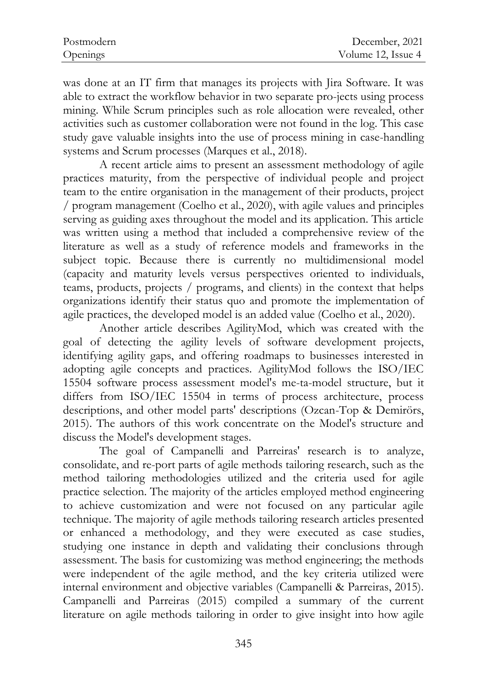| Postmodern | December, 2021     |
|------------|--------------------|
| Openings   | Volume 12, Issue 4 |

was done at an IT firm that manages its projects with Jira Software. It was able to extract the workflow behavior in two separate pro-jects using process mining. While Scrum principles such as role allocation were revealed, other activities such as customer collaboration were not found in the log. This case study gave valuable insights into the use of process mining in case-handling systems and Scrum processes (Marques et al., 2018).

A recent article aims to present an assessment methodology of agile practices maturity, from the perspective of individual people and project team to the entire organisation in the management of their products, project / program management (Coelho et al., 2020), with agile values and principles serving as guiding axes throughout the model and its application. This article was written using a method that included a comprehensive review of the literature as well as a study of reference models and frameworks in the subject topic. Because there is currently no multidimensional model (capacity and maturity levels versus perspectives oriented to individuals, teams, products, projects / programs, and clients) in the context that helps organizations identify their status quo and promote the implementation of agile practices, the developed model is an added value (Coelho et al., 2020).

Another article describes AgilityMod, which was created with the goal of detecting the agility levels of software development projects, identifying agility gaps, and offering roadmaps to businesses interested in adopting agile concepts and practices. AgilityMod follows the ISO/IEC 15504 software process assessment model's me-ta-model structure, but it differs from ISO/IEC 15504 in terms of process architecture, process descriptions, and other model parts' descriptions (Ozcan-Top & Demirörs, 2015). The authors of this work concentrate on the Model's structure and discuss the Model's development stages.

The goal of Campanelli and Parreiras' research is to analyze, consolidate, and re-port parts of agile methods tailoring research, such as the method tailoring methodologies utilized and the criteria used for agile practice selection. The majority of the articles employed method engineering to achieve customization and were not focused on any particular agile technique. The majority of agile methods tailoring research articles presented or enhanced a methodology, and they were executed as case studies, studying one instance in depth and validating their conclusions through assessment. The basis for customizing was method engineering; the methods were independent of the agile method, and the key criteria utilized were internal environment and objective variables (Campanelli & Parreiras, 2015). Campanelli and Parreiras (2015) compiled a summary of the current literature on agile methods tailoring in order to give insight into how agile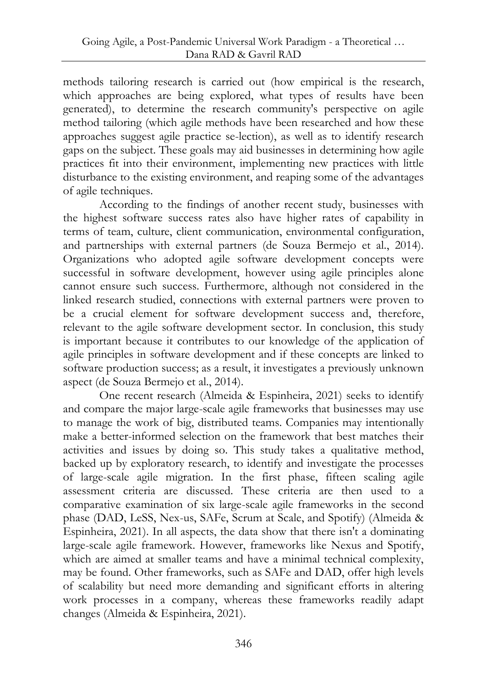methods tailoring research is carried out (how empirical is the research, which approaches are being explored, what types of results have been generated), to determine the research community's perspective on agile method tailoring (which agile methods have been researched and how these approaches suggest agile practice se-lection), as well as to identify research gaps on the subject. These goals may aid businesses in determining how agile practices fit into their environment, implementing new practices with little disturbance to the existing environment, and reaping some of the advantages of agile techniques.

According to the findings of another recent study, businesses with the highest software success rates also have higher rates of capability in terms of team, culture, client communication, environmental configuration, and partnerships with external partners (de Souza Bermejo et al., 2014). Organizations who adopted agile software development concepts were successful in software development, however using agile principles alone cannot ensure such success. Furthermore, although not considered in the linked research studied, connections with external partners were proven to be a crucial element for software development success and, therefore, relevant to the agile software development sector. In conclusion, this study is important because it contributes to our knowledge of the application of agile principles in software development and if these concepts are linked to software production success; as a result, it investigates a previously unknown aspect (de Souza Bermejo et al., 2014).

One recent research (Almeida & Espinheira, 2021) seeks to identify and compare the major large-scale agile frameworks that businesses may use to manage the work of big, distributed teams. Companies may intentionally make a better-informed selection on the framework that best matches their activities and issues by doing so. This study takes a qualitative method, backed up by exploratory research, to identify and investigate the processes of large-scale agile migration. In the first phase, fifteen scaling agile assessment criteria are discussed. These criteria are then used to a comparative examination of six large-scale agile frameworks in the second phase (DAD, LeSS, Nex-us, SAFe, Scrum at Scale, and Spotify) (Almeida & Espinheira, 2021). In all aspects, the data show that there isn't a dominating large-scale agile framework. However, frameworks like Nexus and Spotify, which are aimed at smaller teams and have a minimal technical complexity, may be found. Other frameworks, such as SAFe and DAD, offer high levels of scalability but need more demanding and significant efforts in altering work processes in a company, whereas these frameworks readily adapt changes (Almeida & Espinheira, 2021).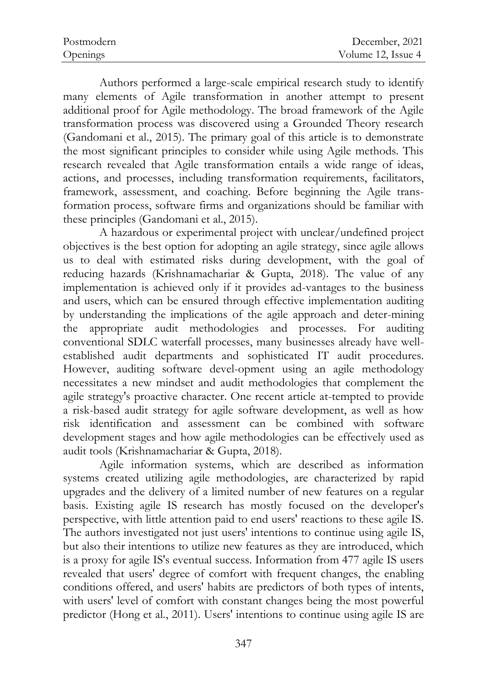| Postmodern | December, 2021     |
|------------|--------------------|
| Openings   | Volume 12, Issue 4 |

Authors performed a large-scale empirical research study to identify many elements of Agile transformation in another attempt to present additional proof for Agile methodology. The broad framework of the Agile transformation process was discovered using a Grounded Theory research (Gandomani et al., 2015). The primary goal of this article is to demonstrate the most significant principles to consider while using Agile methods. This research revealed that Agile transformation entails a wide range of ideas, actions, and processes, including transformation requirements, facilitators, framework, assessment, and coaching. Before beginning the Agile transformation process, software firms and organizations should be familiar with these principles (Gandomani et al., 2015).

A hazardous or experimental project with unclear/undefined project objectives is the best option for adopting an agile strategy, since agile allows us to deal with estimated risks during development, with the goal of reducing hazards (Krishnamachariar & Gupta, 2018). The value of any implementation is achieved only if it provides ad-vantages to the business and users, which can be ensured through effective implementation auditing by understanding the implications of the agile approach and deter-mining the appropriate audit methodologies and processes. For auditing conventional SDLC waterfall processes, many businesses already have wellestablished audit departments and sophisticated IT audit procedures. However, auditing software devel-opment using an agile methodology necessitates a new mindset and audit methodologies that complement the agile strategy's proactive character. One recent article at-tempted to provide a risk-based audit strategy for agile software development, as well as how risk identification and assessment can be combined with software development stages and how agile methodologies can be effectively used as audit tools (Krishnamachariar & Gupta, 2018).

Agile information systems, which are described as information systems created utilizing agile methodologies, are characterized by rapid upgrades and the delivery of a limited number of new features on a regular basis. Existing agile IS research has mostly focused on the developer's perspective, with little attention paid to end users' reactions to these agile IS. The authors investigated not just users' intentions to continue using agile IS, but also their intentions to utilize new features as they are introduced, which is a proxy for agile IS's eventual success. Information from 477 agile IS users revealed that users' degree of comfort with frequent changes, the enabling conditions offered, and users' habits are predictors of both types of intents, with users' level of comfort with constant changes being the most powerful predictor (Hong et al., 2011). Users' intentions to continue using agile IS are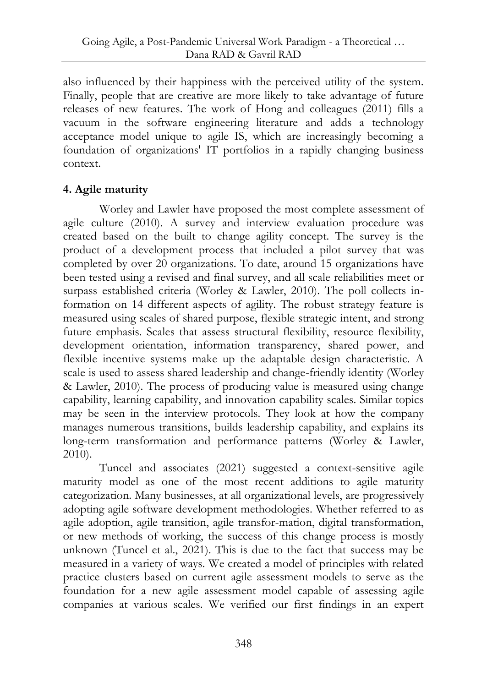also influenced by their happiness with the perceived utility of the system. Finally, people that are creative are more likely to take advantage of future releases of new features. The work of Hong and colleagues (2011) fills a vacuum in the software engineering literature and adds a technology acceptance model unique to agile IS, which are increasingly becoming a foundation of organizations' IT portfolios in a rapidly changing business context.

## **4. Agile maturity**

Worley and Lawler have proposed the most complete assessment of agile culture (2010). A survey and interview evaluation procedure was created based on the built to change agility concept. The survey is the product of a development process that included a pilot survey that was completed by over 20 organizations. To date, around 15 organizations have been tested using a revised and final survey, and all scale reliabilities meet or surpass established criteria (Worley & Lawler, 2010). The poll collects information on 14 different aspects of agility. The robust strategy feature is measured using scales of shared purpose, flexible strategic intent, and strong future emphasis. Scales that assess structural flexibility, resource flexibility, development orientation, information transparency, shared power, and flexible incentive systems make up the adaptable design characteristic. A scale is used to assess shared leadership and change-friendly identity (Worley & Lawler, 2010). The process of producing value is measured using change capability, learning capability, and innovation capability scales. Similar topics may be seen in the interview protocols. They look at how the company manages numerous transitions, builds leadership capability, and explains its long-term transformation and performance patterns (Worley & Lawler, 2010).

Tuncel and associates (2021) suggested a context-sensitive agile maturity model as one of the most recent additions to agile maturity categorization. Many businesses, at all organizational levels, are progressively adopting agile software development methodologies. Whether referred to as agile adoption, agile transition, agile transfor-mation, digital transformation, or new methods of working, the success of this change process is mostly unknown (Tuncel et al., 2021). This is due to the fact that success may be measured in a variety of ways. We created a model of principles with related practice clusters based on current agile assessment models to serve as the foundation for a new agile assessment model capable of assessing agile companies at various scales. We verified our first findings in an expert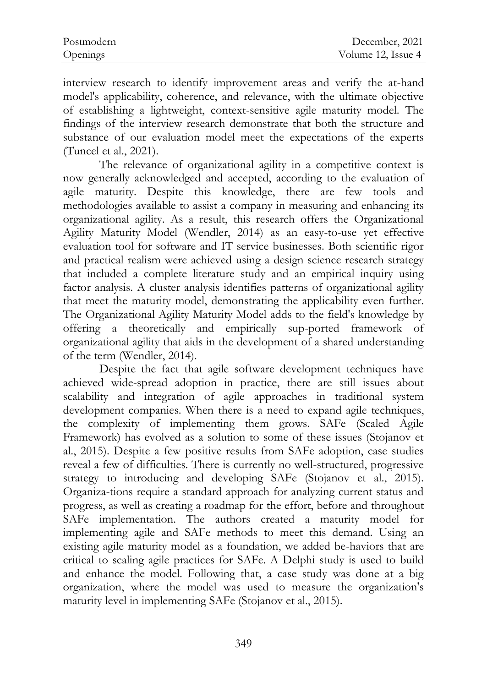| Postmodern | December, 2021     |
|------------|--------------------|
| Openings   | Volume 12, Issue 4 |

interview research to identify improvement areas and verify the at-hand model's applicability, coherence, and relevance, with the ultimate objective of establishing a lightweight, context-sensitive agile maturity model. The findings of the interview research demonstrate that both the structure and substance of our evaluation model meet the expectations of the experts (Tuncel et al., 2021).

The relevance of organizational agility in a competitive context is now generally acknowledged and accepted, according to the evaluation of agile maturity. Despite this knowledge, there are few tools and methodologies available to assist a company in measuring and enhancing its organizational agility. As a result, this research offers the Organizational Agility Maturity Model (Wendler, 2014) as an easy-to-use yet effective evaluation tool for software and IT service businesses. Both scientific rigor and practical realism were achieved using a design science research strategy that included a complete literature study and an empirical inquiry using factor analysis. A cluster analysis identifies patterns of organizational agility that meet the maturity model, demonstrating the applicability even further. The Organizational Agility Maturity Model adds to the field's knowledge by offering a theoretically and empirically sup-ported framework of organizational agility that aids in the development of a shared understanding of the term (Wendler, 2014).

Despite the fact that agile software development techniques have achieved wide-spread adoption in practice, there are still issues about scalability and integration of agile approaches in traditional system development companies. When there is a need to expand agile techniques, the complexity of implementing them grows. SAFe (Scaled Agile Framework) has evolved as a solution to some of these issues (Stojanov et al., 2015). Despite a few positive results from SAFe adoption, case studies reveal a few of difficulties. There is currently no well-structured, progressive strategy to introducing and developing SAFe (Stojanov et al., 2015). Organiza-tions require a standard approach for analyzing current status and progress, as well as creating a roadmap for the effort, before and throughout SAFe implementation. The authors created a maturity model for implementing agile and SAFe methods to meet this demand. Using an existing agile maturity model as a foundation, we added be-haviors that are critical to scaling agile practices for SAFe. A Delphi study is used to build and enhance the model. Following that, a case study was done at a big organization, where the model was used to measure the organization's maturity level in implementing SAFe (Stojanov et al., 2015).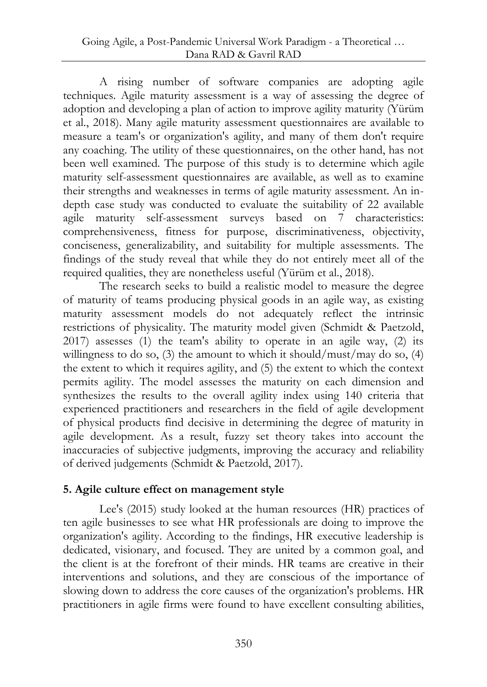A rising number of software companies are adopting agile techniques. Agile maturity assessment is a way of assessing the degree of adoption and developing a plan of action to improve agility maturity (Yürüm et al., 2018). Many agile maturity assessment questionnaires are available to measure a team's or organization's agility, and many of them don't require any coaching. The utility of these questionnaires, on the other hand, has not been well examined. The purpose of this study is to determine which agile maturity self-assessment questionnaires are available, as well as to examine their strengths and weaknesses in terms of agile maturity assessment. An indepth case study was conducted to evaluate the suitability of 22 available agile maturity self-assessment surveys based on 7 characteristics: comprehensiveness, fitness for purpose, discriminativeness, objectivity, conciseness, generalizability, and suitability for multiple assessments. The findings of the study reveal that while they do not entirely meet all of the required qualities, they are nonetheless useful (Yürüm et al., 2018).

The research seeks to build a realistic model to measure the degree of maturity of teams producing physical goods in an agile way, as existing maturity assessment models do not adequately reflect the intrinsic restrictions of physicality. The maturity model given (Schmidt & Paetzold, 2017) assesses (1) the team's ability to operate in an agile way, (2) its willingness to do so,  $(3)$  the amount to which it should/must/may do so,  $(4)$ the extent to which it requires agility, and (5) the extent to which the context permits agility. The model assesses the maturity on each dimension and synthesizes the results to the overall agility index using 140 criteria that experienced practitioners and researchers in the field of agile development of physical products find decisive in determining the degree of maturity in agile development. As a result, fuzzy set theory takes into account the inaccuracies of subjective judgments, improving the accuracy and reliability of derived judgements (Schmidt & Paetzold, 2017).

## **5. Agile culture effect on management style**

Lee's (2015) study looked at the human resources (HR) practices of ten agile businesses to see what HR professionals are doing to improve the organization's agility. According to the findings, HR executive leadership is dedicated, visionary, and focused. They are united by a common goal, and the client is at the forefront of their minds. HR teams are creative in their interventions and solutions, and they are conscious of the importance of slowing down to address the core causes of the organization's problems. HR practitioners in agile firms were found to have excellent consulting abilities,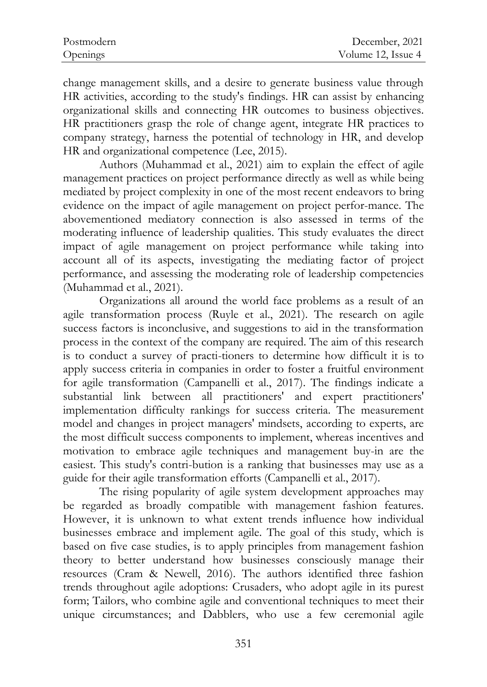| Postmodern | December, 2021     |
|------------|--------------------|
| Openings   | Volume 12, Issue 4 |

change management skills, and a desire to generate business value through HR activities, according to the study's findings. HR can assist by enhancing organizational skills and connecting HR outcomes to business objectives. HR practitioners grasp the role of change agent, integrate HR practices to company strategy, harness the potential of technology in HR, and develop HR and organizational competence (Lee, 2015).

Authors (Muhammad et al., 2021) aim to explain the effect of agile management practices on project performance directly as well as while being mediated by project complexity in one of the most recent endeavors to bring evidence on the impact of agile management on project perfor-mance. The abovementioned mediatory connection is also assessed in terms of the moderating influence of leadership qualities. This study evaluates the direct impact of agile management on project performance while taking into account all of its aspects, investigating the mediating factor of project performance, and assessing the moderating role of leadership competencies (Muhammad et al., 2021).

Organizations all around the world face problems as a result of an agile transformation process (Ruyle et al., 2021). The research on agile success factors is inconclusive, and suggestions to aid in the transformation process in the context of the company are required. The aim of this research is to conduct a survey of practi-tioners to determine how difficult it is to apply success criteria in companies in order to foster a fruitful environment for agile transformation (Campanelli et al., 2017). The findings indicate a substantial link between all practitioners' and expert practitioners' implementation difficulty rankings for success criteria. The measurement model and changes in project managers' mindsets, according to experts, are the most difficult success components to implement, whereas incentives and motivation to embrace agile techniques and management buy-in are the easiest. This study's contri-bution is a ranking that businesses may use as a guide for their agile transformation efforts (Campanelli et al., 2017).

The rising popularity of agile system development approaches may be regarded as broadly compatible with management fashion features. However, it is unknown to what extent trends influence how individual businesses embrace and implement agile. The goal of this study, which is based on five case studies, is to apply principles from management fashion theory to better understand how businesses consciously manage their resources (Cram & Newell, 2016). The authors identified three fashion trends throughout agile adoptions: Crusaders, who adopt agile in its purest form; Tailors, who combine agile and conventional techniques to meet their unique circumstances; and Dabblers, who use a few ceremonial agile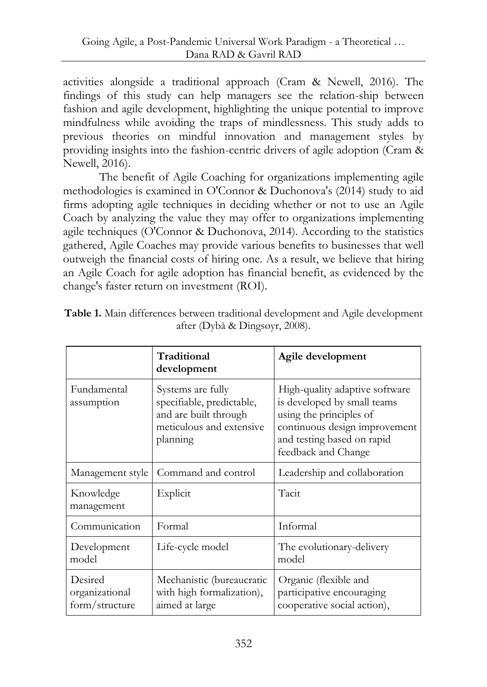activities alongside a traditional approach (Cram & Newell, 2016). The findings of this study can help managers see the relation-ship between fashion and agile development, highlighting the unique potential to improve mindfulness while avoiding the traps of mindlessness. This study adds to previous theories on mindful innovation and management styles by providing insights into the fashion-centric drivers of agile adoption (Cram & Newell, 2016).

The benefit of Agile Coaching for organizations implementing agile methodologies is examined in O'Connor & Duchonova's (2014) study to aid firms adopting agile techniques in deciding whether or not to use an Agile Coach by analyzing the value they may offer to organizations implementing agile techniques (O'Connor & Duchonova, 2014). According to the statistics gathered, Agile Coaches may provide various benefits to businesses that well outweigh the financial costs of hiring one. As a result, we believe that hiring an Agile Coach for agile adoption has financial benefit, as evidenced by the change's faster return on investment (ROI).

|                                             | Traditional<br>development                                                                                      | Agile development                                                                                                                                                              |
|---------------------------------------------|-----------------------------------------------------------------------------------------------------------------|--------------------------------------------------------------------------------------------------------------------------------------------------------------------------------|
| Fundamental<br>assumption                   | Systems are fully<br>specifiable, predictable,<br>and are built through<br>meticulous and extensive<br>planning | High-quality adaptive software<br>is developed by small teams<br>using the principles of<br>continuous design improvement<br>and testing based on rapid<br>feedback and Change |
| Management style                            | Command and control                                                                                             | Leadership and collaboration                                                                                                                                                   |
| Knowledge<br>management                     | Explicit                                                                                                        | Tacit                                                                                                                                                                          |
| Communication                               | Formal                                                                                                          | Informal                                                                                                                                                                       |
| Development<br>model                        | Life-cycle model                                                                                                | The evolutionary-delivery<br>model                                                                                                                                             |
| Desired<br>organizational<br>form/structure | Mechanistic (bureaucratic<br>with high formalization),<br>aimed at large                                        | Organic (flexible and<br>participative encouraging<br>cooperative social action),                                                                                              |

**Table 1.** Main differences between traditional development and Agile development after (Dybå & Dingsøyr, 2008).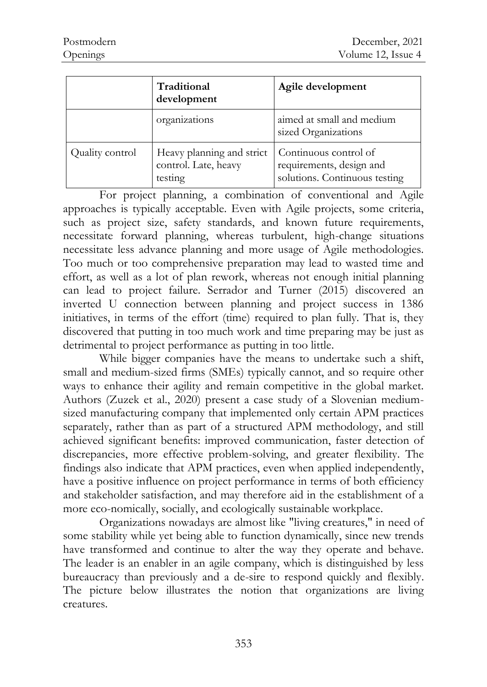|                 | Traditional<br>development                                   | Agile development                                                                  |
|-----------------|--------------------------------------------------------------|------------------------------------------------------------------------------------|
|                 | organizations                                                | aimed at small and medium<br>sized Organizations                                   |
| Quality control | Heavy planning and strict<br>control. Late, heavy<br>testing | Continuous control of<br>requirements, design and<br>solutions. Continuous testing |

For project planning, a combination of conventional and Agile approaches is typically acceptable. Even with Agile projects, some criteria, such as project size, safety standards, and known future requirements, necessitate forward planning, whereas turbulent, high-change situations necessitate less advance planning and more usage of Agile methodologies. Too much or too comprehensive preparation may lead to wasted time and effort, as well as a lot of plan rework, whereas not enough initial planning can lead to project failure. Serrador and Turner (2015) discovered an inverted U connection between planning and project success in 1386 initiatives, in terms of the effort (time) required to plan fully. That is, they discovered that putting in too much work and time preparing may be just as detrimental to project performance as putting in too little.

While bigger companies have the means to undertake such a shift, small and medium-sized firms (SMEs) typically cannot, and so require other ways to enhance their agility and remain competitive in the global market. Authors (Zuzek et al., 2020) present a case study of a Slovenian mediumsized manufacturing company that implemented only certain APM practices separately, rather than as part of a structured APM methodology, and still achieved significant benefits: improved communication, faster detection of discrepancies, more effective problem-solving, and greater flexibility. The findings also indicate that APM practices, even when applied independently, have a positive influence on project performance in terms of both efficiency and stakeholder satisfaction, and may therefore aid in the establishment of a more eco-nomically, socially, and ecologically sustainable workplace.

Organizations nowadays are almost like "living creatures," in need of some stability while yet being able to function dynamically, since new trends have transformed and continue to alter the way they operate and behave. The leader is an enabler in an agile company, which is distinguished by less bureaucracy than previously and a de-sire to respond quickly and flexibly. The picture below illustrates the notion that organizations are living creatures.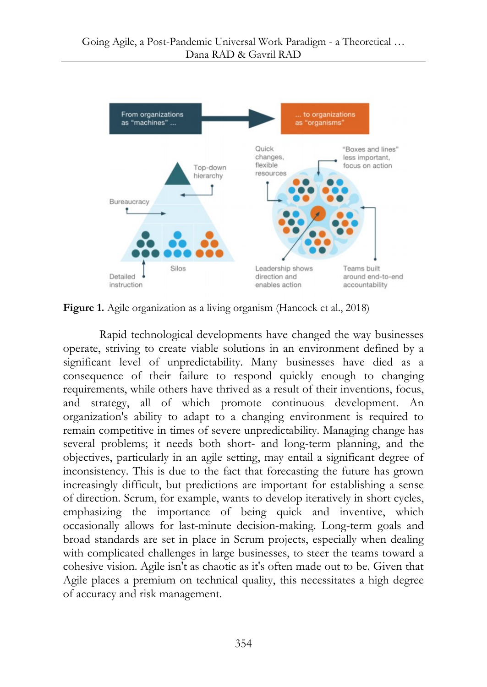

**Figure 1.** Agile organization as a living organism (Hancock et al., 2018)

Rapid technological developments have changed the way businesses operate, striving to create viable solutions in an environment defined by a significant level of unpredictability. Many businesses have died as a consequence of their failure to respond quickly enough to changing requirements, while others have thrived as a result of their inventions, focus, and strategy, all of which promote continuous development. An organization's ability to adapt to a changing environment is required to remain competitive in times of severe unpredictability. Managing change has several problems; it needs both short- and long-term planning, and the objectives, particularly in an agile setting, may entail a significant degree of inconsistency. This is due to the fact that forecasting the future has grown increasingly difficult, but predictions are important for establishing a sense of direction. Scrum, for example, wants to develop iteratively in short cycles, emphasizing the importance of being quick and inventive, which occasionally allows for last-minute decision-making. Long-term goals and broad standards are set in place in Scrum projects, especially when dealing with complicated challenges in large businesses, to steer the teams toward a cohesive vision. Agile isn't as chaotic as it's often made out to be. Given that Agile places a premium on technical quality, this necessitates a high degree of accuracy and risk management.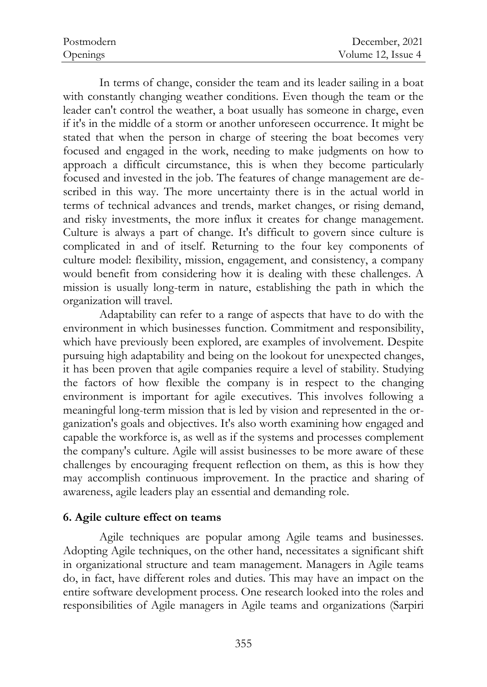| Postmodern | December, 2021     |
|------------|--------------------|
| Openings   | Volume 12, Issue 4 |

In terms of change, consider the team and its leader sailing in a boat with constantly changing weather conditions. Even though the team or the leader can't control the weather, a boat usually has someone in charge, even if it's in the middle of a storm or another unforeseen occurrence. It might be stated that when the person in charge of steering the boat becomes very focused and engaged in the work, needing to make judgments on how to approach a difficult circumstance, this is when they become particularly focused and invested in the job. The features of change management are described in this way. The more uncertainty there is in the actual world in terms of technical advances and trends, market changes, or rising demand, and risky investments, the more influx it creates for change management. Culture is always a part of change. It's difficult to govern since culture is complicated in and of itself. Returning to the four key components of culture model: flexibility, mission, engagement, and consistency, a company would benefit from considering how it is dealing with these challenges. A mission is usually long-term in nature, establishing the path in which the organization will travel.

Adaptability can refer to a range of aspects that have to do with the environment in which businesses function. Commitment and responsibility, which have previously been explored, are examples of involvement. Despite pursuing high adaptability and being on the lookout for unexpected changes, it has been proven that agile companies require a level of stability. Studying the factors of how flexible the company is in respect to the changing environment is important for agile executives. This involves following a meaningful long-term mission that is led by vision and represented in the organization's goals and objectives. It's also worth examining how engaged and capable the workforce is, as well as if the systems and processes complement the company's culture. Agile will assist businesses to be more aware of these challenges by encouraging frequent reflection on them, as this is how they may accomplish continuous improvement. In the practice and sharing of awareness, agile leaders play an essential and demanding role.

#### **6. Agile culture effect on teams**

Agile techniques are popular among Agile teams and businesses. Adopting Agile techniques, on the other hand, necessitates a significant shift in organizational structure and team management. Managers in Agile teams do, in fact, have different roles and duties. This may have an impact on the entire software development process. One research looked into the roles and responsibilities of Agile managers in Agile teams and organizations (Sarpiri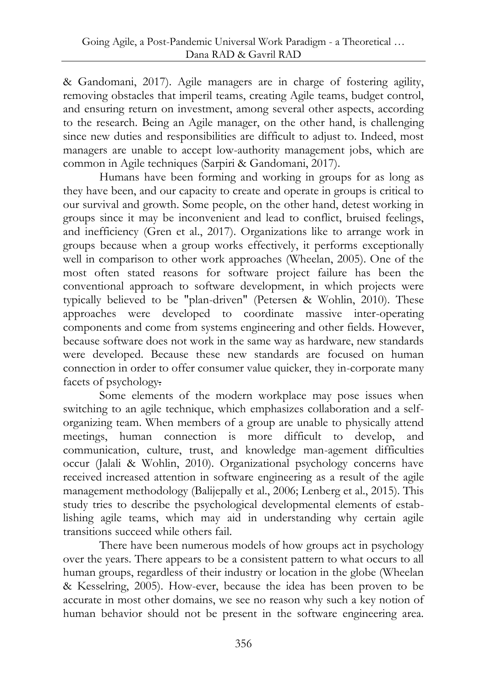& Gandomani, 2017). Agile managers are in charge of fostering agility, removing obstacles that imperil teams, creating Agile teams, budget control, and ensuring return on investment, among several other aspects, according to the research. Being an Agile manager, on the other hand, is challenging since new duties and responsibilities are difficult to adjust to. Indeed, most managers are unable to accept low-authority management jobs, which are common in Agile techniques (Sarpiri & Gandomani, 2017).

Humans have been forming and working in groups for as long as they have been, and our capacity to create and operate in groups is critical to our survival and growth. Some people, on the other hand, detest working in groups since it may be inconvenient and lead to conflict, bruised feelings, and inefficiency (Gren et al., 2017). Organizations like to arrange work in groups because when a group works effectively, it performs exceptionally well in comparison to other work approaches (Wheelan, 2005). One of the most often stated reasons for software project failure has been the conventional approach to software development, in which projects were typically believed to be "plan-driven" (Petersen & Wohlin, 2010). These approaches were developed to coordinate massive inter-operating components and come from systems engineering and other fields. However, because software does not work in the same way as hardware, new standards were developed. Because these new standards are focused on human connection in order to offer consumer value quicker, they in-corporate many facets of psychology.

Some elements of the modern workplace may pose issues when switching to an agile technique, which emphasizes collaboration and a selforganizing team. When members of a group are unable to physically attend meetings, human connection is more difficult to develop, and communication, culture, trust, and knowledge man-agement difficulties occur (Jalali & Wohlin, 2010). Organizational psychology concerns have received increased attention in software engineering as a result of the agile management methodology (Balijepally et al., 2006; Lenberg et al., 2015). This study tries to describe the psychological developmental elements of establishing agile teams, which may aid in understanding why certain agile transitions succeed while others fail.

There have been numerous models of how groups act in psychology over the years. There appears to be a consistent pattern to what occurs to all human groups, regardless of their industry or location in the globe (Wheelan & Kesselring, 2005). How-ever, because the idea has been proven to be accurate in most other domains, we see no reason why such a key notion of human behavior should not be present in the software engineering area.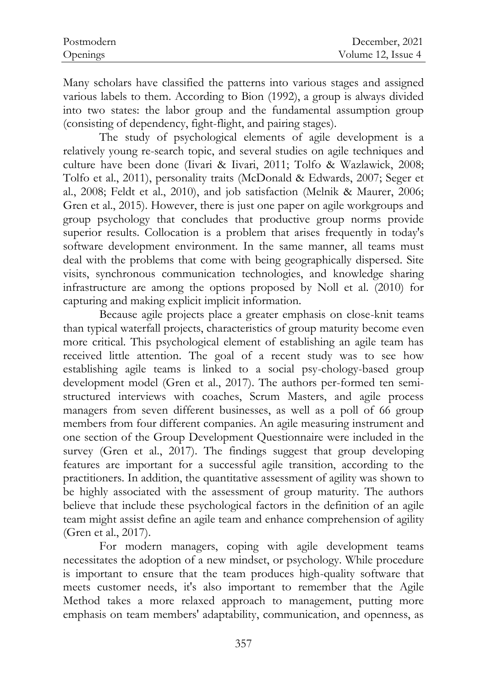| Postmodern | December, 2021     |
|------------|--------------------|
| Openings   | Volume 12, Issue 4 |

Many scholars have classified the patterns into various stages and assigned various labels to them. According to Bion (1992), a group is always divided into two states: the labor group and the fundamental assumption group (consisting of dependency, fight-flight, and pairing stages).

The study of psychological elements of agile development is a relatively young re-search topic, and several studies on agile techniques and culture have been done (Iivari & Iivari, 2011; Tolfo & Wazlawick, 2008; Tolfo et al., 2011), personality traits (McDonald & Edwards, 2007; Seger et al., 2008; Feldt et al., 2010), and job satisfaction (Melnik & Maurer, 2006; Gren et al., 2015). However, there is just one paper on agile workgroups and group psychology that concludes that productive group norms provide superior results. Collocation is a problem that arises frequently in today's software development environment. In the same manner, all teams must deal with the problems that come with being geographically dispersed. Site visits, synchronous communication technologies, and knowledge sharing infrastructure are among the options proposed by Noll et al. (2010) for capturing and making explicit implicit information.

Because agile projects place a greater emphasis on close-knit teams than typical waterfall projects, characteristics of group maturity become even more critical. This psychological element of establishing an agile team has received little attention. The goal of a recent study was to see how establishing agile teams is linked to a social psy-chology-based group development model (Gren et al., 2017). The authors per-formed ten semistructured interviews with coaches, Scrum Masters, and agile process managers from seven different businesses, as well as a poll of 66 group members from four different companies. An agile measuring instrument and one section of the Group Development Questionnaire were included in the survey (Gren et al., 2017). The findings suggest that group developing features are important for a successful agile transition, according to the practitioners. In addition, the quantitative assessment of agility was shown to be highly associated with the assessment of group maturity. The authors believe that include these psychological factors in the definition of an agile team might assist define an agile team and enhance comprehension of agility (Gren et al., 2017).

For modern managers, coping with agile development teams necessitates the adoption of a new mindset, or psychology. While procedure is important to ensure that the team produces high-quality software that meets customer needs, it's also important to remember that the Agile Method takes a more relaxed approach to management, putting more emphasis on team members' adaptability, communication, and openness, as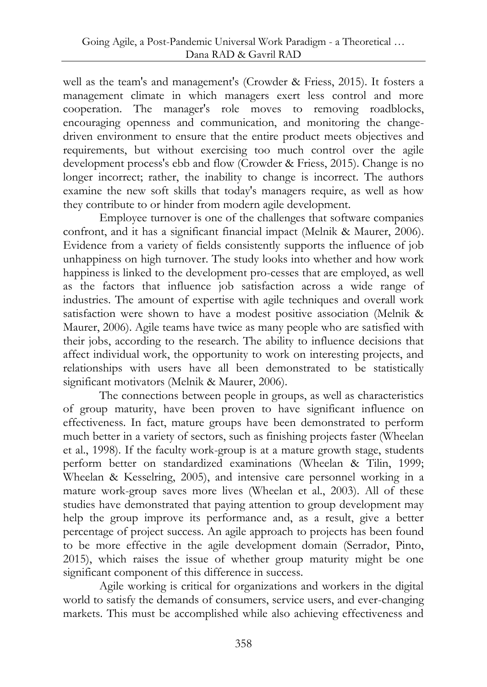well as the team's and management's (Crowder & Friess, 2015). It fosters a management climate in which managers exert less control and more cooperation. The manager's role moves to removing roadblocks, encouraging openness and communication, and monitoring the changedriven environment to ensure that the entire product meets objectives and requirements, but without exercising too much control over the agile development process's ebb and flow (Crowder & Friess, 2015). Change is no longer incorrect; rather, the inability to change is incorrect. The authors examine the new soft skills that today's managers require, as well as how they contribute to or hinder from modern agile development.

Employee turnover is one of the challenges that software companies confront, and it has a significant financial impact (Melnik & Maurer, 2006). Evidence from a variety of fields consistently supports the influence of job unhappiness on high turnover. The study looks into whether and how work happiness is linked to the development pro-cesses that are employed, as well as the factors that influence job satisfaction across a wide range of industries. The amount of expertise with agile techniques and overall work satisfaction were shown to have a modest positive association (Melnik & Maurer, 2006). Agile teams have twice as many people who are satisfied with their jobs, according to the research. The ability to influence decisions that affect individual work, the opportunity to work on interesting projects, and relationships with users have all been demonstrated to be statistically significant motivators (Melnik & Maurer, 2006).

The connections between people in groups, as well as characteristics of group maturity, have been proven to have significant influence on effectiveness. In fact, mature groups have been demonstrated to perform much better in a variety of sectors, such as finishing projects faster (Wheelan et al., 1998). If the faculty work-group is at a mature growth stage, students perform better on standardized examinations (Wheelan & Tilin, 1999; Wheelan & Kesselring, 2005), and intensive care personnel working in a mature work-group saves more lives (Wheelan et al., 2003). All of these studies have demonstrated that paying attention to group development may help the group improve its performance and, as a result, give a better percentage of project success. An agile approach to projects has been found to be more effective in the agile development domain (Serrador, Pinto, 2015), which raises the issue of whether group maturity might be one significant component of this difference in success.

Agile working is critical for organizations and workers in the digital world to satisfy the demands of consumers, service users, and ever-changing markets. This must be accomplished while also achieving effectiveness and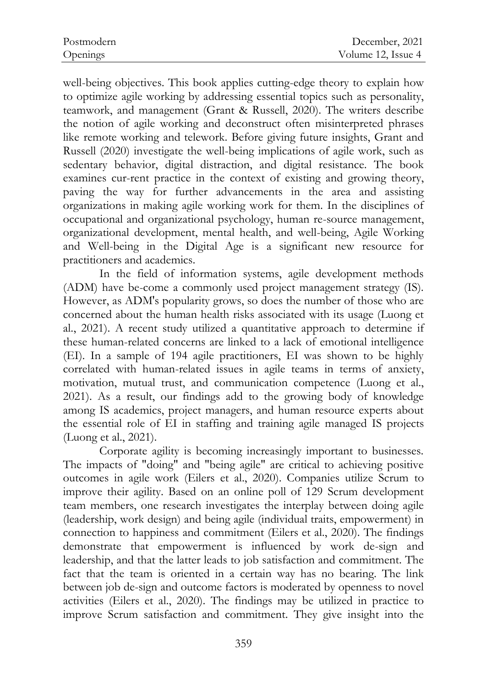well-being objectives. This book applies cutting-edge theory to explain how to optimize agile working by addressing essential topics such as personality, teamwork, and management (Grant & Russell, 2020). The writers describe the notion of agile working and deconstruct often misinterpreted phrases like remote working and telework. Before giving future insights, Grant and Russell (2020) investigate the well-being implications of agile work, such as sedentary behavior, digital distraction, and digital resistance. The book examines cur-rent practice in the context of existing and growing theory, paving the way for further advancements in the area and assisting organizations in making agile working work for them. In the disciplines of occupational and organizational psychology, human re-source management, organizational development, mental health, and well-being, Agile Working and Well-being in the Digital Age is a significant new resource for practitioners and academics.

In the field of information systems, agile development methods (ADM) have be-come a commonly used project management strategy (IS). However, as ADM's popularity grows, so does the number of those who are concerned about the human health risks associated with its usage (Luong et al., 2021). A recent study utilized a quantitative approach to determine if these human-related concerns are linked to a lack of emotional intelligence (EI). In a sample of 194 agile practitioners, EI was shown to be highly correlated with human-related issues in agile teams in terms of anxiety, motivation, mutual trust, and communication competence (Luong et al., 2021). As a result, our findings add to the growing body of knowledge among IS academics, project managers, and human resource experts about the essential role of EI in staffing and training agile managed IS projects (Luong et al., 2021).

Corporate agility is becoming increasingly important to businesses. The impacts of "doing" and "being agile" are critical to achieving positive outcomes in agile work (Eilers et al., 2020). Companies utilize Scrum to improve their agility. Based on an online poll of 129 Scrum development team members, one research investigates the interplay between doing agile (leadership, work design) and being agile (individual traits, empowerment) in connection to happiness and commitment (Eilers et al., 2020). The findings demonstrate that empowerment is influenced by work de-sign and leadership, and that the latter leads to job satisfaction and commitment. The fact that the team is oriented in a certain way has no bearing. The link between job de-sign and outcome factors is moderated by openness to novel activities (Eilers et al., 2020). The findings may be utilized in practice to improve Scrum satisfaction and commitment. They give insight into the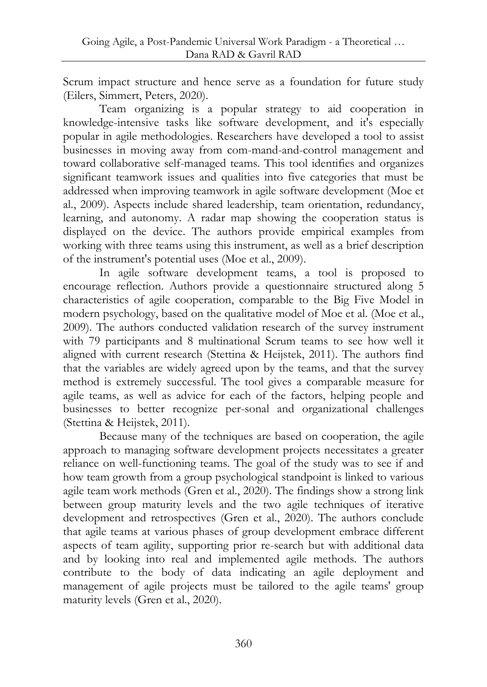Scrum impact structure and hence serve as a foundation for future study (Eilers, Simmert, Peters, 2020).

Team organizing is a popular strategy to aid cooperation in knowledge-intensive tasks like software development, and it's especially popular in agile methodologies. Researchers have developed a tool to assist businesses in moving away from com-mand-and-control management and toward collaborative self-managed teams. This tool identifies and organizes significant teamwork issues and qualities into five categories that must be addressed when improving teamwork in agile software development (Moe et al., 2009). Aspects include shared leadership, team orientation, redundancy, learning, and autonomy. A radar map showing the cooperation status is displayed on the device. The authors provide empirical examples from working with three teams using this instrument, as well as a brief description of the instrument's potential uses (Moe et al., 2009).

In agile software development teams, a tool is proposed to encourage reflection. Authors provide a questionnaire structured along 5 characteristics of agile cooperation, comparable to the Big Five Model in modern psychology, based on the qualitative model of Moe et al. (Moe et al., 2009). The authors conducted validation research of the survey instrument with 79 participants and 8 multinational Scrum teams to see how well it aligned with current research (Stettina & Heijstek, 2011). The authors find that the variables are widely agreed upon by the teams, and that the survey method is extremely successful. The tool gives a comparable measure for agile teams, as well as advice for each of the factors, helping people and businesses to better recognize per-sonal and organizational challenges (Stettina & Heijstek, 2011).

Because many of the techniques are based on cooperation, the agile approach to managing software development projects necessitates a greater reliance on well-functioning teams. The goal of the study was to see if and how team growth from a group psychological standpoint is linked to various agile team work methods (Gren et al., 2020). The findings show a strong link between group maturity levels and the two agile techniques of iterative development and retrospectives (Gren et al., 2020). The authors conclude that agile teams at various phases of group development embrace different aspects of team agility, supporting prior re-search but with additional data and by looking into real and implemented agile methods. The authors contribute to the body of data indicating an agile deployment and management of agile projects must be tailored to the agile teams' group maturity levels (Gren et al., 2020).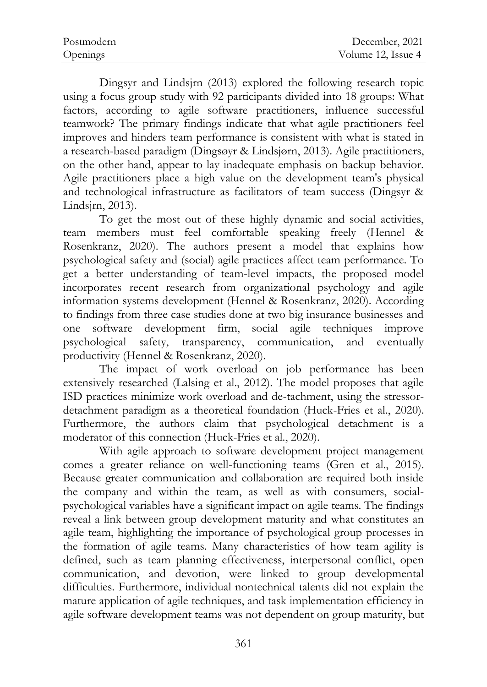| Postmodern | December, 2021     |
|------------|--------------------|
| Openings   | Volume 12, Issue 4 |

Dingsyr and Lindsjrn (2013) explored the following research topic using a focus group study with 92 participants divided into 18 groups: What factors, according to agile software practitioners, influence successful teamwork? The primary findings indicate that what agile practitioners feel improves and hinders team performance is consistent with what is stated in a research-based paradigm (Dingsøyr & Lindsjørn, 2013). Agile practitioners, on the other hand, appear to lay inadequate emphasis on backup behavior. Agile practitioners place a high value on the development team's physical and technological infrastructure as facilitators of team success (Dingsyr & Lindsjrn, 2013).

To get the most out of these highly dynamic and social activities, team members must feel comfortable speaking freely (Hennel & Rosenkranz, 2020). The authors present a model that explains how psychological safety and (social) agile practices affect team performance. To get a better understanding of team-level impacts, the proposed model incorporates recent research from organizational psychology and agile information systems development (Hennel & Rosenkranz, 2020). According to findings from three case studies done at two big insurance businesses and one software development firm, social agile techniques improve psychological safety, transparency, communication, and eventually productivity (Hennel & Rosenkranz, 2020).

The impact of work overload on job performance has been extensively researched (Lalsing et al., 2012). The model proposes that agile ISD practices minimize work overload and de-tachment, using the stressordetachment paradigm as a theoretical foundation (Huck-Fries et al., 2020). Furthermore, the authors claim that psychological detachment is a moderator of this connection (Huck-Fries et al., 2020).

With agile approach to software development project management comes a greater reliance on well-functioning teams (Gren et al., 2015). Because greater communication and collaboration are required both inside the company and within the team, as well as with consumers, socialpsychological variables have a significant impact on agile teams. The findings reveal a link between group development maturity and what constitutes an agile team, highlighting the importance of psychological group processes in the formation of agile teams. Many characteristics of how team agility is defined, such as team planning effectiveness, interpersonal conflict, open communication, and devotion, were linked to group developmental difficulties. Furthermore, individual nontechnical talents did not explain the mature application of agile techniques, and task implementation efficiency in agile software development teams was not dependent on group maturity, but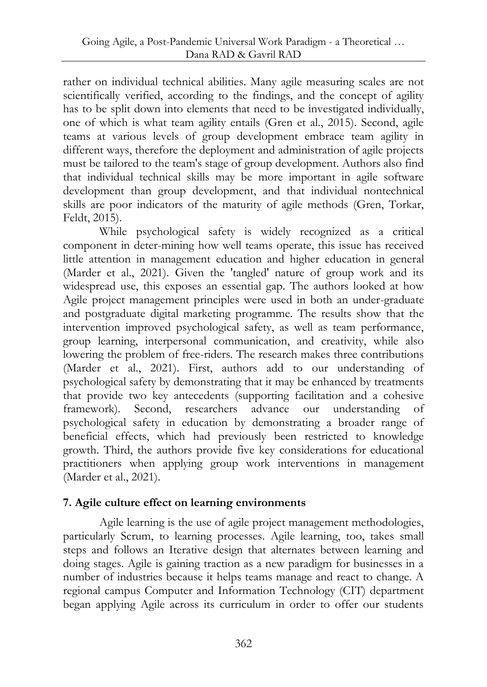rather on individual technical abilities. Many agile measuring scales are not scientifically verified, according to the findings, and the concept of agility has to be split down into elements that need to be investigated individually, one of which is what team agility entails (Gren et al., 2015). Second, agile teams at various levels of group development embrace team agility in different ways, therefore the deployment and administration of agile projects must be tailored to the team's stage of group development. Authors also find that individual technical skills may be more important in agile software development than group development, and that individual nontechnical skills are poor indicators of the maturity of agile methods (Gren, Torkar, Feldt, 2015).

While psychological safety is widely recognized as a critical component in deter-mining how well teams operate, this issue has received little attention in management education and higher education in general (Marder et al., 2021). Given the 'tangled' nature of group work and its widespread use, this exposes an essential gap. The authors looked at how Agile project management principles were used in both an under-graduate and postgraduate digital marketing programme. The results show that the intervention improved psychological safety, as well as team performance, group learning, interpersonal communication, and creativity, while also lowering the problem of free-riders. The research makes three contributions (Marder et al., 2021). First, authors add to our understanding of psychological safety by demonstrating that it may be enhanced by treatments that provide two key antecedents (supporting facilitation and a cohesive framework). Second, researchers advance our understanding of psychological safety in education by demonstrating a broader range of beneficial effects, which had previously been restricted to knowledge growth. Third, the authors provide five key considerations for educational practitioners when applying group work interventions in management (Marder et al., 2021).

## **7. Agile culture effect on learning environments**

Agile learning is the use of agile project management methodologies, particularly Scrum, to learning processes. Agile learning, too, takes small steps and follows an Iterative design that alternates between learning and doing stages. Agile is gaining traction as a new paradigm for businesses in a number of industries because it helps teams manage and react to change. A regional campus Computer and Information Technology (CIT) department began applying Agile across its curriculum in order to offer our students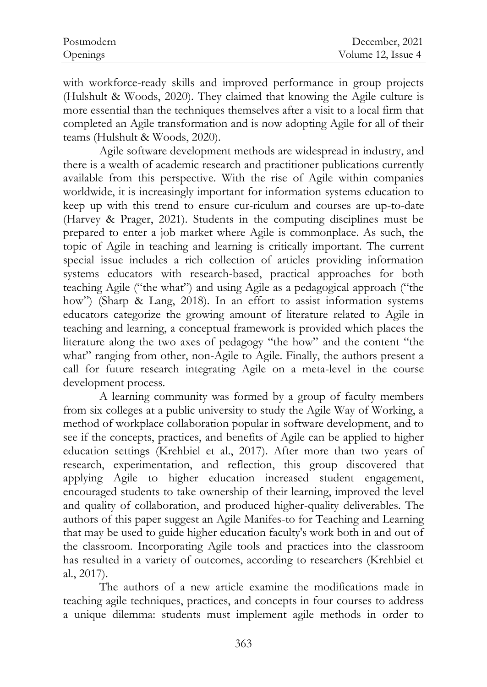| Postmodern | December, 2021     |
|------------|--------------------|
| Openings   | Volume 12, Issue 4 |

with workforce-ready skills and improved performance in group projects (Hulshult & Woods, 2020). They claimed that knowing the Agile culture is more essential than the techniques themselves after a visit to a local firm that completed an Agile transformation and is now adopting Agile for all of their teams (Hulshult & Woods, 2020).

Agile software development methods are widespread in industry, and there is a wealth of academic research and practitioner publications currently available from this perspective. With the rise of Agile within companies worldwide, it is increasingly important for information systems education to keep up with this trend to ensure cur-riculum and courses are up-to-date (Harvey & Prager, 2021). Students in the computing disciplines must be prepared to enter a job market where Agile is commonplace. As such, the topic of Agile in teaching and learning is critically important. The current special issue includes a rich collection of articles providing information systems educators with research-based, practical approaches for both teaching Agile ("the what") and using Agile as a pedagogical approach ("the how") (Sharp & Lang, 2018). In an effort to assist information systems educators categorize the growing amount of literature related to Agile in teaching and learning, a conceptual framework is provided which places the literature along the two axes of pedagogy "the how" and the content "the what" ranging from other, non-Agile to Agile. Finally, the authors present a call for future research integrating Agile on a meta-level in the course development process.

A learning community was formed by a group of faculty members from six colleges at a public university to study the Agile Way of Working, a method of workplace collaboration popular in software development, and to see if the concepts, practices, and benefits of Agile can be applied to higher education settings (Krehbiel et al., 2017). After more than two years of research, experimentation, and reflection, this group discovered that applying Agile to higher education increased student engagement, encouraged students to take ownership of their learning, improved the level and quality of collaboration, and produced higher-quality deliverables. The authors of this paper suggest an Agile Manifes-to for Teaching and Learning that may be used to guide higher education faculty's work both in and out of the classroom. Incorporating Agile tools and practices into the classroom has resulted in a variety of outcomes, according to researchers (Krehbiel et al., 2017).

The authors of a new article examine the modifications made in teaching agile techniques, practices, and concepts in four courses to address a unique dilemma: students must implement agile methods in order to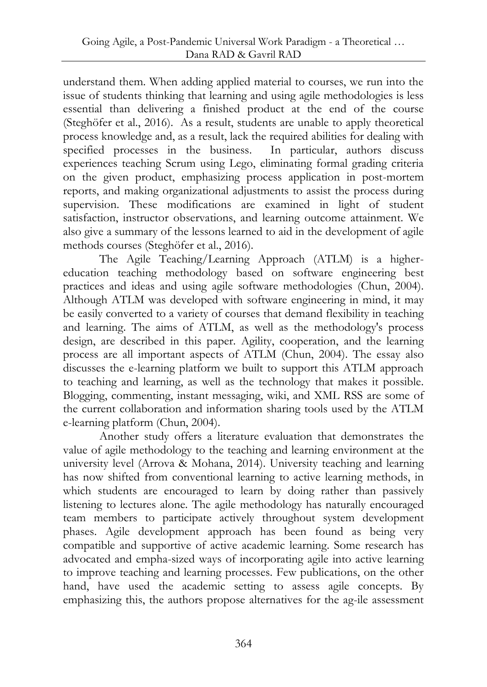understand them. When adding applied material to courses, we run into the issue of students thinking that learning and using agile methodologies is less essential than delivering a finished product at the end of the course (Steghöfer et al., 2016). As a result, students are unable to apply theoretical process knowledge and, as a result, lack the required abilities for dealing with specified processes in the business. In particular, authors discuss experiences teaching Scrum using Lego, eliminating formal grading criteria on the given product, emphasizing process application in post-mortem reports, and making organizational adjustments to assist the process during supervision. These modifications are examined in light of student satisfaction, instructor observations, and learning outcome attainment. We also give a summary of the lessons learned to aid in the development of agile methods courses (Steghöfer et al., 2016).

The Agile Teaching/Learning Approach (ATLM) is a highereducation teaching methodology based on software engineering best practices and ideas and using agile software methodologies (Chun, 2004). Although ATLM was developed with software engineering in mind, it may be easily converted to a variety of courses that demand flexibility in teaching and learning. The aims of ATLM, as well as the methodology's process design, are described in this paper. Agility, cooperation, and the learning process are all important aspects of ATLM (Chun, 2004). The essay also discusses the e-learning platform we built to support this ATLM approach to teaching and learning, as well as the technology that makes it possible. Blogging, commenting, instant messaging, wiki, and XML RSS are some of the current collaboration and information sharing tools used by the ATLM e-learning platform (Chun, 2004).

Another study offers a literature evaluation that demonstrates the value of agile methodology to the teaching and learning environment at the university level (Arrova & Mohana, 2014). University teaching and learning has now shifted from conventional learning to active learning methods, in which students are encouraged to learn by doing rather than passively listening to lectures alone. The agile methodology has naturally encouraged team members to participate actively throughout system development phases. Agile development approach has been found as being very compatible and supportive of active academic learning. Some research has advocated and empha-sized ways of incorporating agile into active learning to improve teaching and learning processes. Few publications, on the other hand, have used the academic setting to assess agile concepts. By emphasizing this, the authors propose alternatives for the ag-ile assessment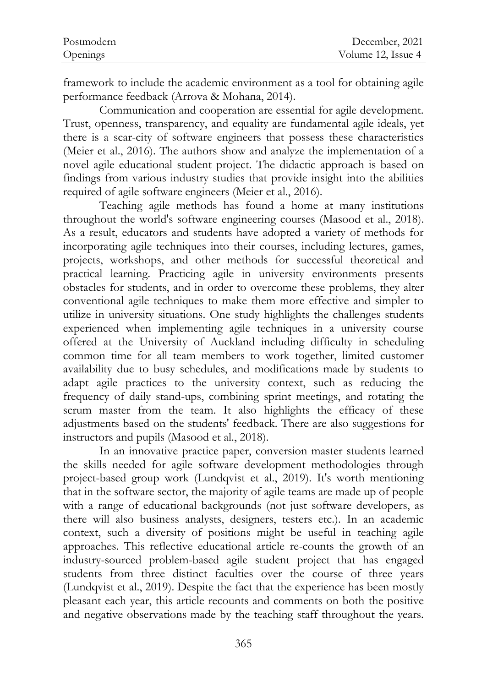| Postmodern | December, 2021     |
|------------|--------------------|
| Openings   | Volume 12, Issue 4 |

framework to include the academic environment as a tool for obtaining agile performance feedback (Arrova & Mohana, 2014).

Communication and cooperation are essential for agile development. Trust, openness, transparency, and equality are fundamental agile ideals, yet there is a scar-city of software engineers that possess these characteristics (Meier et al., 2016). The authors show and analyze the implementation of a novel agile educational student project. The didactic approach is based on findings from various industry studies that provide insight into the abilities required of agile software engineers (Meier et al., 2016).

Teaching agile methods has found a home at many institutions throughout the world's software engineering courses (Masood et al., 2018). As a result, educators and students have adopted a variety of methods for incorporating agile techniques into their courses, including lectures, games, projects, workshops, and other methods for successful theoretical and practical learning. Practicing agile in university environments presents obstacles for students, and in order to overcome these problems, they alter conventional agile techniques to make them more effective and simpler to utilize in university situations. One study highlights the challenges students experienced when implementing agile techniques in a university course offered at the University of Auckland including difficulty in scheduling common time for all team members to work together, limited customer availability due to busy schedules, and modifications made by students to adapt agile practices to the university context, such as reducing the frequency of daily stand-ups, combining sprint meetings, and rotating the scrum master from the team. It also highlights the efficacy of these adjustments based on the students' feedback. There are also suggestions for instructors and pupils (Masood et al., 2018).

In an innovative practice paper, conversion master students learned the skills needed for agile software development methodologies through project-based group work (Lundqvist et al., 2019). It's worth mentioning that in the software sector, the majority of agile teams are made up of people with a range of educational backgrounds (not just software developers, as there will also business analysts, designers, testers etc.). In an academic context, such a diversity of positions might be useful in teaching agile approaches. This reflective educational article re-counts the growth of an industry-sourced problem-based agile student project that has engaged students from three distinct faculties over the course of three years (Lundqvist et al., 2019). Despite the fact that the experience has been mostly pleasant each year, this article recounts and comments on both the positive and negative observations made by the teaching staff throughout the years.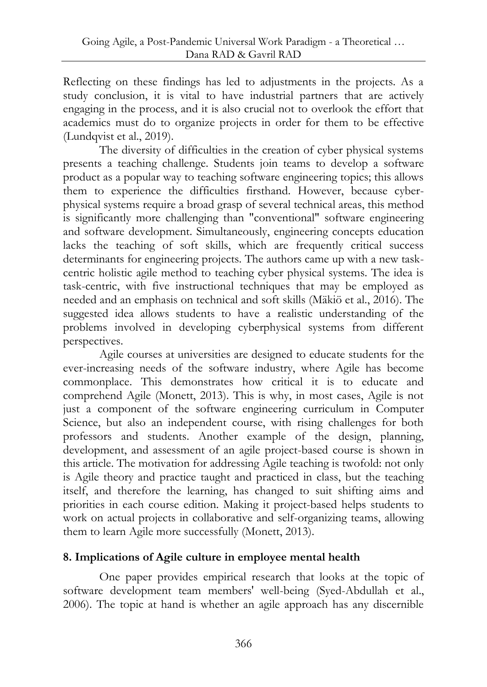Reflecting on these findings has led to adjustments in the projects. As a study conclusion, it is vital to have industrial partners that are actively engaging in the process, and it is also crucial not to overlook the effort that academics must do to organize projects in order for them to be effective (Lundqvist et al., 2019).

The diversity of difficulties in the creation of cyber physical systems presents a teaching challenge. Students join teams to develop a software product as a popular way to teaching software engineering topics; this allows them to experience the difficulties firsthand. However, because cyberphysical systems require a broad grasp of several technical areas, this method is significantly more challenging than "conventional" software engineering and software development. Simultaneously, engineering concepts education lacks the teaching of soft skills, which are frequently critical success determinants for engineering projects. The authors came up with a new taskcentric holistic agile method to teaching cyber physical systems. The idea is task-centric, with five instructional techniques that may be employed as needed and an emphasis on technical and soft skills (Mäkiö et al., 2016). The suggested idea allows students to have a realistic understanding of the problems involved in developing cyberphysical systems from different perspectives.

Agile courses at universities are designed to educate students for the ever-increasing needs of the software industry, where Agile has become commonplace. This demonstrates how critical it is to educate and comprehend Agile (Monett, 2013). This is why, in most cases, Agile is not just a component of the software engineering curriculum in Computer Science, but also an independent course, with rising challenges for both professors and students. Another example of the design, planning, development, and assessment of an agile project-based course is shown in this article. The motivation for addressing Agile teaching is twofold: not only is Agile theory and practice taught and practiced in class, but the teaching itself, and therefore the learning, has changed to suit shifting aims and priorities in each course edition. Making it project-based helps students to work on actual projects in collaborative and self-organizing teams, allowing them to learn Agile more successfully (Monett, 2013).

## **8. Implications of Agile culture in employee mental health**

One paper provides empirical research that looks at the topic of software development team members' well-being (Syed-Abdullah et al., 2006). The topic at hand is whether an agile approach has any discernible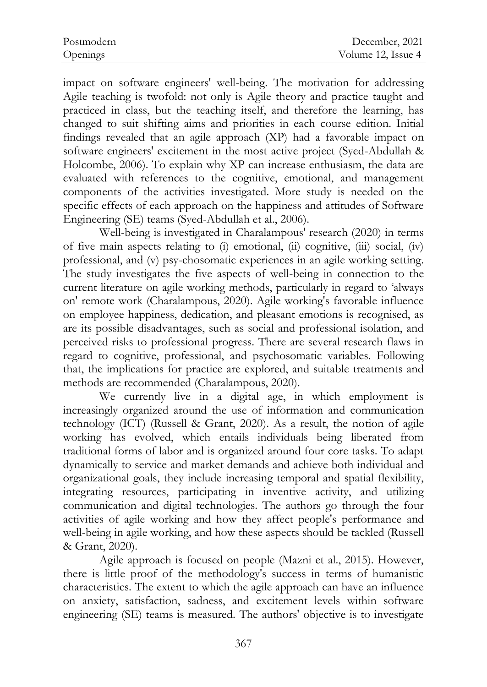| Postmodern | December, 2021     |
|------------|--------------------|
| Openings   | Volume 12, Issue 4 |

impact on software engineers' well-being. The motivation for addressing Agile teaching is twofold: not only is Agile theory and practice taught and practiced in class, but the teaching itself, and therefore the learning, has changed to suit shifting aims and priorities in each course edition. Initial findings revealed that an agile approach (XP) had a favorable impact on software engineers' excitement in the most active project (Syed-Abdullah & Holcombe, 2006). To explain why XP can increase enthusiasm, the data are evaluated with references to the cognitive, emotional, and management components of the activities investigated. More study is needed on the specific effects of each approach on the happiness and attitudes of Software Engineering (SE) teams (Syed-Abdullah et al., 2006).

Well-being is investigated in Charalampous' research (2020) in terms of five main aspects relating to (i) emotional, (ii) cognitive, (iii) social, (iv) professional, and (v) psy-chosomatic experiences in an agile working setting. The study investigates the five aspects of well-being in connection to the current literature on agile working methods, particularly in regard to 'always on' remote work (Charalampous, 2020). Agile working's favorable influence on employee happiness, dedication, and pleasant emotions is recognised, as are its possible disadvantages, such as social and professional isolation, and perceived risks to professional progress. There are several research flaws in regard to cognitive, professional, and psychosomatic variables. Following that, the implications for practice are explored, and suitable treatments and methods are recommended (Charalampous, 2020).

We currently live in a digital age, in which employment is increasingly organized around the use of information and communication technology (ICT) (Russell & Grant, 2020). As a result, the notion of agile working has evolved, which entails individuals being liberated from traditional forms of labor and is organized around four core tasks. To adapt dynamically to service and market demands and achieve both individual and organizational goals, they include increasing temporal and spatial flexibility, integrating resources, participating in inventive activity, and utilizing communication and digital technologies. The authors go through the four activities of agile working and how they affect people's performance and well-being in agile working, and how these aspects should be tackled (Russell & Grant, 2020).

Agile approach is focused on people (Mazni et al., 2015). However, there is little proof of the methodology's success in terms of humanistic characteristics. The extent to which the agile approach can have an influence on anxiety, satisfaction, sadness, and excitement levels within software engineering (SE) teams is measured. The authors' objective is to investigate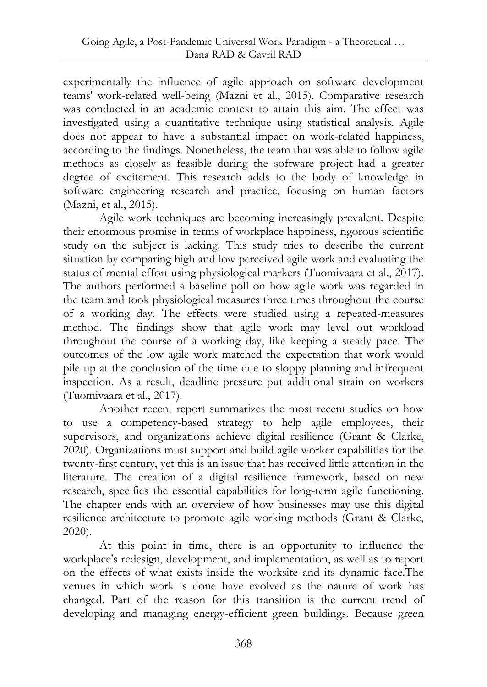experimentally the influence of agile approach on software development teams' work-related well-being (Mazni et al., 2015). Comparative research was conducted in an academic context to attain this aim. The effect was investigated using a quantitative technique using statistical analysis. Agile does not appear to have a substantial impact on work-related happiness, according to the findings. Nonetheless, the team that was able to follow agile methods as closely as feasible during the software project had a greater degree of excitement. This research adds to the body of knowledge in software engineering research and practice, focusing on human factors (Mazni, et al., 2015).

Agile work techniques are becoming increasingly prevalent. Despite their enormous promise in terms of workplace happiness, rigorous scientific study on the subject is lacking. This study tries to describe the current situation by comparing high and low perceived agile work and evaluating the status of mental effort using physiological markers (Tuomivaara et al., 2017). The authors performed a baseline poll on how agile work was regarded in the team and took physiological measures three times throughout the course of a working day. The effects were studied using a repeated-measures method. The findings show that agile work may level out workload throughout the course of a working day, like keeping a steady pace. The outcomes of the low agile work matched the expectation that work would pile up at the conclusion of the time due to sloppy planning and infrequent inspection. As a result, deadline pressure put additional strain on workers (Tuomivaara et al., 2017).

Another recent report summarizes the most recent studies on how to use a competency-based strategy to help agile employees, their supervisors, and organizations achieve digital resilience (Grant & Clarke, 2020). Organizations must support and build agile worker capabilities for the twenty-first century, yet this is an issue that has received little attention in the literature. The creation of a digital resilience framework, based on new research, specifies the essential capabilities for long-term agile functioning. The chapter ends with an overview of how businesses may use this digital resilience architecture to promote agile working methods (Grant & Clarke, 2020).

At this point in time, there is an opportunity to influence the workplace's redesign, development, and implementation, as well as to report on the effects of what exists inside the worksite and its dynamic face.The venues in which work is done have evolved as the nature of work has changed. Part of the reason for this transition is the current trend of developing and managing energy-efficient green buildings. Because green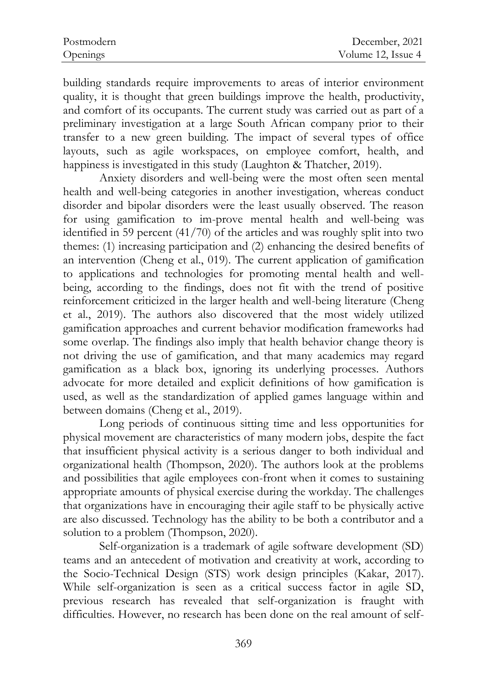| Postmodern | December, 2021     |
|------------|--------------------|
| Openings   | Volume 12, Issue 4 |

building standards require improvements to areas of interior environment quality, it is thought that green buildings improve the health, productivity, and comfort of its occupants. The current study was carried out as part of a preliminary investigation at a large South African company prior to their transfer to a new green building. The impact of several types of office layouts, such as agile workspaces, on employee comfort, health, and happiness is investigated in this study (Laughton & Thatcher, 2019).

Anxiety disorders and well-being were the most often seen mental health and well-being categories in another investigation, whereas conduct disorder and bipolar disorders were the least usually observed. The reason for using gamification to im-prove mental health and well-being was identified in 59 percent (41/70) of the articles and was roughly split into two themes: (1) increasing participation and (2) enhancing the desired benefits of an intervention (Cheng et al., 019). The current application of gamification to applications and technologies for promoting mental health and wellbeing, according to the findings, does not fit with the trend of positive reinforcement criticized in the larger health and well-being literature (Cheng et al., 2019). The authors also discovered that the most widely utilized gamification approaches and current behavior modification frameworks had some overlap. The findings also imply that health behavior change theory is not driving the use of gamification, and that many academics may regard gamification as a black box, ignoring its underlying processes. Authors advocate for more detailed and explicit definitions of how gamification is used, as well as the standardization of applied games language within and between domains (Cheng et al., 2019).

Long periods of continuous sitting time and less opportunities for physical movement are characteristics of many modern jobs, despite the fact that insufficient physical activity is a serious danger to both individual and organizational health (Thompson, 2020). The authors look at the problems and possibilities that agile employees con-front when it comes to sustaining appropriate amounts of physical exercise during the workday. The challenges that organizations have in encouraging their agile staff to be physically active are also discussed. Technology has the ability to be both a contributor and a solution to a problem (Thompson, 2020).

Self-organization is a trademark of agile software development (SD) teams and an antecedent of motivation and creativity at work, according to the Socio-Technical Design (STS) work design principles (Kakar, 2017). While self-organization is seen as a critical success factor in agile SD, previous research has revealed that self-organization is fraught with difficulties. However, no research has been done on the real amount of self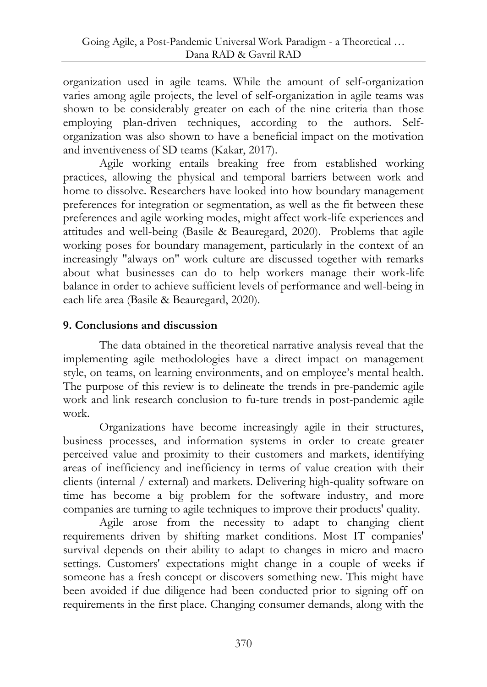organization used in agile teams. While the amount of self-organization varies among agile projects, the level of self-organization in agile teams was shown to be considerably greater on each of the nine criteria than those employing plan-driven techniques, according to the authors. Selforganization was also shown to have a beneficial impact on the motivation and inventiveness of SD teams (Kakar, 2017).

Agile working entails breaking free from established working practices, allowing the physical and temporal barriers between work and home to dissolve. Researchers have looked into how boundary management preferences for integration or segmentation, as well as the fit between these preferences and agile working modes, might affect work-life experiences and attitudes and well-being (Basile & Beauregard, 2020). Problems that agile working poses for boundary management, particularly in the context of an increasingly "always on" work culture are discussed together with remarks about what businesses can do to help workers manage their work-life balance in order to achieve sufficient levels of performance and well-being in each life area (Basile & Beauregard, 2020).

### **9. Conclusions and discussion**

The data obtained in the theoretical narrative analysis reveal that the implementing agile methodologies have a direct impact on management style, on teams, on learning environments, and on employee's mental health. The purpose of this review is to delineate the trends in pre-pandemic agile work and link research conclusion to fu-ture trends in post-pandemic agile work.

Organizations have become increasingly agile in their structures, business processes, and information systems in order to create greater perceived value and proximity to their customers and markets, identifying areas of inefficiency and inefficiency in terms of value creation with their clients (internal / external) and markets. Delivering high-quality software on time has become a big problem for the software industry, and more companies are turning to agile techniques to improve their products' quality.

Agile arose from the necessity to adapt to changing client requirements driven by shifting market conditions. Most IT companies' survival depends on their ability to adapt to changes in micro and macro settings. Customers' expectations might change in a couple of weeks if someone has a fresh concept or discovers something new. This might have been avoided if due diligence had been conducted prior to signing off on requirements in the first place. Changing consumer demands, along with the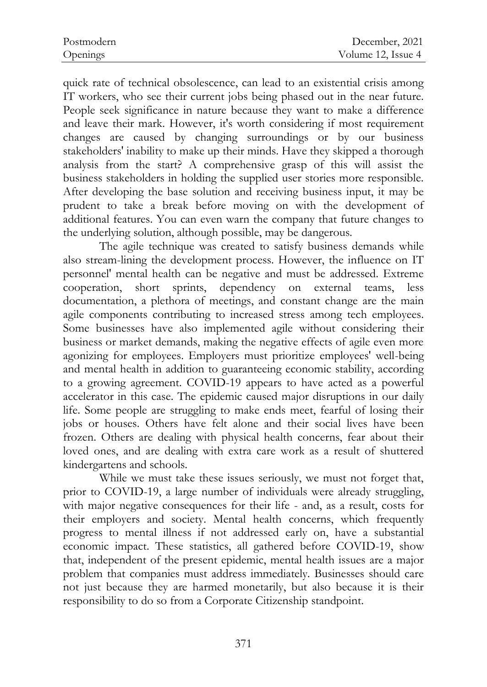quick rate of technical obsolescence, can lead to an existential crisis among IT workers, who see their current jobs being phased out in the near future. People seek significance in nature because they want to make a difference and leave their mark. However, it's worth considering if most requirement changes are caused by changing surroundings or by our business stakeholders' inability to make up their minds. Have they skipped a thorough analysis from the start? A comprehensive grasp of this will assist the business stakeholders in holding the supplied user stories more responsible. After developing the base solution and receiving business input, it may be prudent to take a break before moving on with the development of additional features. You can even warn the company that future changes to the underlying solution, although possible, may be dangerous.

The agile technique was created to satisfy business demands while also stream-lining the development process. However, the influence on IT personnel' mental health can be negative and must be addressed. Extreme cooperation, short sprints, dependency on external teams, less documentation, a plethora of meetings, and constant change are the main agile components contributing to increased stress among tech employees. Some businesses have also implemented agile without considering their business or market demands, making the negative effects of agile even more agonizing for employees. Employers must prioritize employees' well-being and mental health in addition to guaranteeing economic stability, according to a growing agreement. COVID-19 appears to have acted as a powerful accelerator in this case. The epidemic caused major disruptions in our daily life. Some people are struggling to make ends meet, fearful of losing their jobs or houses. Others have felt alone and their social lives have been frozen. Others are dealing with physical health concerns, fear about their loved ones, and are dealing with extra care work as a result of shuttered kindergartens and schools.

While we must take these issues seriously, we must not forget that, prior to COVID-19, a large number of individuals were already struggling, with major negative consequences for their life - and, as a result, costs for their employers and society. Mental health concerns, which frequently progress to mental illness if not addressed early on, have a substantial economic impact. These statistics, all gathered before COVID-19, show that, independent of the present epidemic, mental health issues are a major problem that companies must address immediately. Businesses should care not just because they are harmed monetarily, but also because it is their responsibility to do so from a Corporate Citizenship standpoint.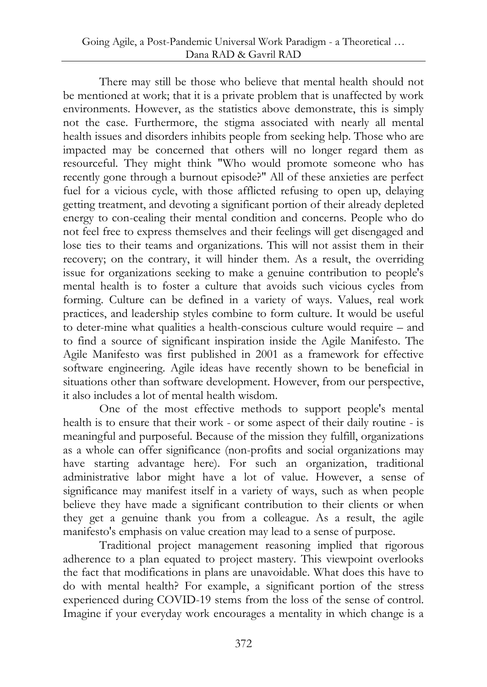There may still be those who believe that mental health should not be mentioned at work; that it is a private problem that is unaffected by work environments. However, as the statistics above demonstrate, this is simply not the case. Furthermore, the stigma associated with nearly all mental health issues and disorders inhibits people from seeking help. Those who are impacted may be concerned that others will no longer regard them as resourceful. They might think "Who would promote someone who has recently gone through a burnout episode?" All of these anxieties are perfect fuel for a vicious cycle, with those afflicted refusing to open up, delaying getting treatment, and devoting a significant portion of their already depleted energy to con-cealing their mental condition and concerns. People who do not feel free to express themselves and their feelings will get disengaged and lose ties to their teams and organizations. This will not assist them in their recovery; on the contrary, it will hinder them. As a result, the overriding issue for organizations seeking to make a genuine contribution to people's mental health is to foster a culture that avoids such vicious cycles from forming. Culture can be defined in a variety of ways. Values, real work practices, and leadership styles combine to form culture. It would be useful to deter-mine what qualities a health-conscious culture would require – and to find a source of significant inspiration inside the Agile Manifesto. The Agile Manifesto was first published in 2001 as a framework for effective software engineering. Agile ideas have recently shown to be beneficial in situations other than software development. However, from our perspective, it also includes a lot of mental health wisdom.

One of the most effective methods to support people's mental health is to ensure that their work - or some aspect of their daily routine - is meaningful and purposeful. Because of the mission they fulfill, organizations as a whole can offer significance (non-profits and social organizations may have starting advantage here). For such an organization, traditional administrative labor might have a lot of value. However, a sense of significance may manifest itself in a variety of ways, such as when people believe they have made a significant contribution to their clients or when they get a genuine thank you from a colleague. As a result, the agile manifesto's emphasis on value creation may lead to a sense of purpose.

Traditional project management reasoning implied that rigorous adherence to a plan equated to project mastery. This viewpoint overlooks the fact that modifications in plans are unavoidable. What does this have to do with mental health? For example, a significant portion of the stress experienced during COVID-19 stems from the loss of the sense of control. Imagine if your everyday work encourages a mentality in which change is a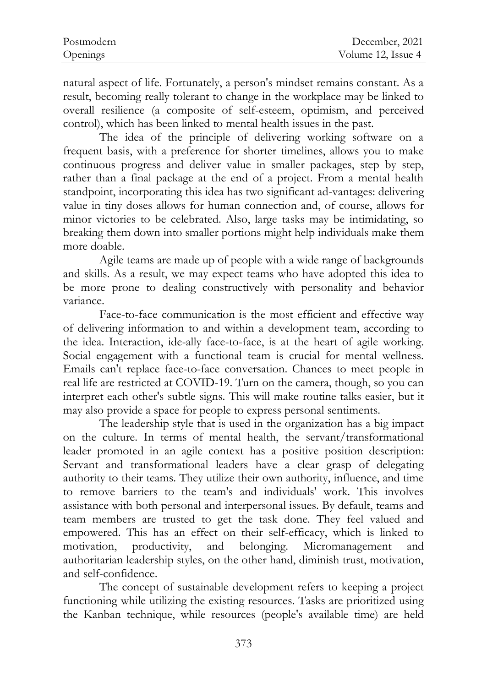| Postmodern | December, 2021     |
|------------|--------------------|
| Openings   | Volume 12, Issue 4 |

natural aspect of life. Fortunately, a person's mindset remains constant. As a result, becoming really tolerant to change in the workplace may be linked to overall resilience (a composite of self-esteem, optimism, and perceived control), which has been linked to mental health issues in the past.

The idea of the principle of delivering working software on a frequent basis, with a preference for shorter timelines, allows you to make continuous progress and deliver value in smaller packages, step by step, rather than a final package at the end of a project. From a mental health standpoint, incorporating this idea has two significant ad-vantages: delivering value in tiny doses allows for human connection and, of course, allows for minor victories to be celebrated. Also, large tasks may be intimidating, so breaking them down into smaller portions might help individuals make them more doable.

Agile teams are made up of people with a wide range of backgrounds and skills. As a result, we may expect teams who have adopted this idea to be more prone to dealing constructively with personality and behavior variance.

Face-to-face communication is the most efficient and effective way of delivering information to and within a development team, according to the idea. Interaction, ide-ally face-to-face, is at the heart of agile working. Social engagement with a functional team is crucial for mental wellness. Emails can't replace face-to-face conversation. Chances to meet people in real life are restricted at COVID-19. Turn on the camera, though, so you can interpret each other's subtle signs. This will make routine talks easier, but it may also provide a space for people to express personal sentiments.

The leadership style that is used in the organization has a big impact on the culture. In terms of mental health, the servant/transformational leader promoted in an agile context has a positive position description: Servant and transformational leaders have a clear grasp of delegating authority to their teams. They utilize their own authority, influence, and time to remove barriers to the team's and individuals' work. This involves assistance with both personal and interpersonal issues. By default, teams and team members are trusted to get the task done. They feel valued and empowered. This has an effect on their self-efficacy, which is linked to motivation, productivity, and belonging. Micromanagement and authoritarian leadership styles, on the other hand, diminish trust, motivation, and self-confidence.

The concept of sustainable development refers to keeping a project functioning while utilizing the existing resources. Tasks are prioritized using the Kanban technique, while resources (people's available time) are held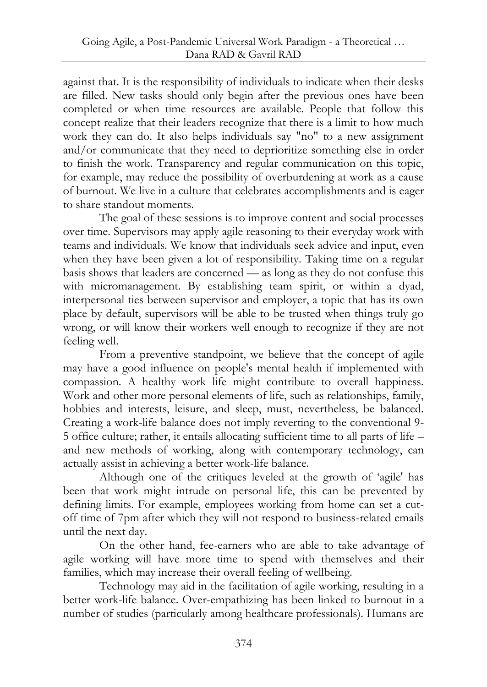against that. It is the responsibility of individuals to indicate when their desks are filled. New tasks should only begin after the previous ones have been completed or when time resources are available. People that follow this concept realize that their leaders recognize that there is a limit to how much work they can do. It also helps individuals say "no" to a new assignment and/or communicate that they need to deprioritize something else in order to finish the work. Transparency and regular communication on this topic, for example, may reduce the possibility of overburdening at work as a cause of burnout. We live in a culture that celebrates accomplishments and is eager to share standout moments.

The goal of these sessions is to improve content and social processes over time. Supervisors may apply agile reasoning to their everyday work with teams and individuals. We know that individuals seek advice and input, even when they have been given a lot of responsibility. Taking time on a regular basis shows that leaders are concerned — as long as they do not confuse this with micromanagement. By establishing team spirit, or within a dyad, interpersonal ties between supervisor and employer, a topic that has its own place by default, supervisors will be able to be trusted when things truly go wrong, or will know their workers well enough to recognize if they are not feeling well.

From a preventive standpoint, we believe that the concept of agile may have a good influence on people's mental health if implemented with compassion. A healthy work life might contribute to overall happiness. Work and other more personal elements of life, such as relationships, family, hobbies and interests, leisure, and sleep, must, nevertheless, be balanced. Creating a work-life balance does not imply reverting to the conventional 9- 5 office culture; rather, it entails allocating sufficient time to all parts of life – and new methods of working, along with contemporary technology, can actually assist in achieving a better work-life balance.

Although one of the critiques leveled at the growth of 'agile' has been that work might intrude on personal life, this can be prevented by defining limits. For example, employees working from home can set a cutoff time of 7pm after which they will not respond to business-related emails until the next day.

On the other hand, fee-earners who are able to take advantage of agile working will have more time to spend with themselves and their families, which may increase their overall feeling of wellbeing.

Technology may aid in the facilitation of agile working, resulting in a better work-life balance. Over-empathizing has been linked to burnout in a number of studies (particularly among healthcare professionals). Humans are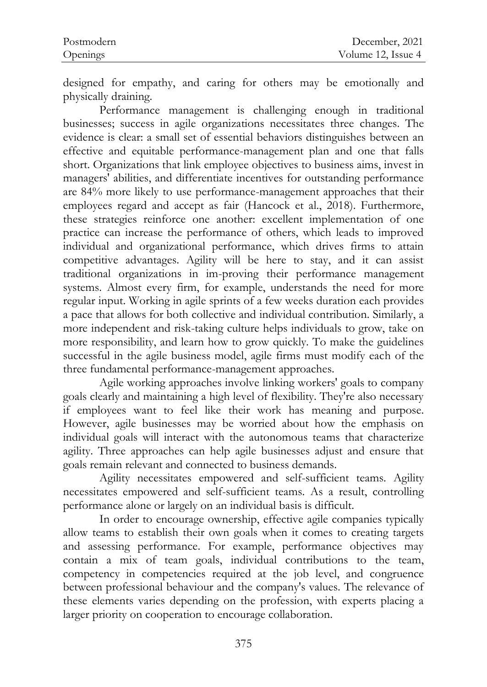| Postmodern | December, 2021     |
|------------|--------------------|
| Openings   | Volume 12, Issue 4 |

designed for empathy, and caring for others may be emotionally and physically draining.

Performance management is challenging enough in traditional businesses; success in agile organizations necessitates three changes. The evidence is clear: a small set of essential behaviors distinguishes between an effective and equitable performance-management plan and one that falls short. Organizations that link employee objectives to business aims, invest in managers' abilities, and differentiate incentives for outstanding performance are 84% more likely to use performance-management approaches that their employees regard and accept as fair (Hancock et al., 2018). Furthermore, these strategies reinforce one another: excellent implementation of one practice can increase the performance of others, which leads to improved individual and organizational performance, which drives firms to attain competitive advantages. Agility will be here to stay, and it can assist traditional organizations in im-proving their performance management systems. Almost every firm, for example, understands the need for more regular input. Working in agile sprints of a few weeks duration each provides a pace that allows for both collective and individual contribution. Similarly, a more independent and risk-taking culture helps individuals to grow, take on more responsibility, and learn how to grow quickly. To make the guidelines successful in the agile business model, agile firms must modify each of the three fundamental performance-management approaches.

Agile working approaches involve linking workers' goals to company goals clearly and maintaining a high level of flexibility. They're also necessary if employees want to feel like their work has meaning and purpose. However, agile businesses may be worried about how the emphasis on individual goals will interact with the autonomous teams that characterize agility. Three approaches can help agile businesses adjust and ensure that goals remain relevant and connected to business demands.

Agility necessitates empowered and self-sufficient teams. Agility necessitates empowered and self-sufficient teams. As a result, controlling performance alone or largely on an individual basis is difficult.

In order to encourage ownership, effective agile companies typically allow teams to establish their own goals when it comes to creating targets and assessing performance. For example, performance objectives may contain a mix of team goals, individual contributions to the team, competency in competencies required at the job level, and congruence between professional behaviour and the company's values. The relevance of these elements varies depending on the profession, with experts placing a larger priority on cooperation to encourage collaboration.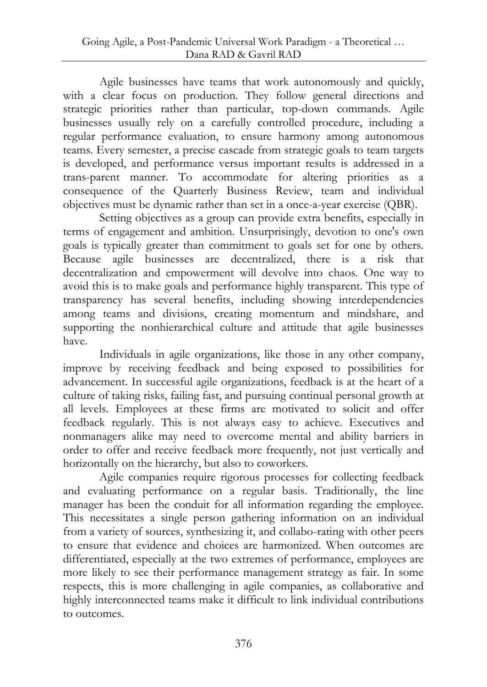Agile businesses have teams that work autonomously and quickly, with a clear focus on production. They follow general directions and strategic priorities rather than particular, top-down commands. Agile businesses usually rely on a carefully controlled procedure, including a regular performance evaluation, to ensure harmony among autonomous teams. Every semester, a precise cascade from strategic goals to team targets is developed, and performance versus important results is addressed in a trans-parent manner. To accommodate for altering priorities as a consequence of the Quarterly Business Review, team and individual objectives must be dynamic rather than set in a once-a-year exercise (QBR).

Setting objectives as a group can provide extra benefits, especially in terms of engagement and ambition. Unsurprisingly, devotion to one's own goals is typically greater than commitment to goals set for one by others. Because agile businesses are decentralized, there is a risk that decentralization and empowerment will devolve into chaos. One way to avoid this is to make goals and performance highly transparent. This type of transparency has several benefits, including showing interdependencies among teams and divisions, creating momentum and mindshare, and supporting the nonhierarchical culture and attitude that agile businesses have.

Individuals in agile organizations, like those in any other company, improve by receiving feedback and being exposed to possibilities for advancement. In successful agile organizations, feedback is at the heart of a culture of taking risks, failing fast, and pursuing continual personal growth at all levels. Employees at these firms are motivated to solicit and offer feedback regularly. This is not always easy to achieve. Executives and nonmanagers alike may need to overcome mental and ability barriers in order to offer and receive feedback more frequently, not just vertically and horizontally on the hierarchy, but also to coworkers.

Agile companies require rigorous processes for collecting feedback and evaluating performance on a regular basis. Traditionally, the line manager has been the conduit for all information regarding the employee. This necessitates a single person gathering information on an individual from a variety of sources, synthesizing it, and collabo-rating with other peers to ensure that evidence and choices are harmonized. When outcomes are differentiated, especially at the two extremes of performance, employees are more likely to see their performance management strategy as fair. In some respects, this is more challenging in agile companies, as collaborative and highly interconnected teams make it difficult to link individual contributions to outcomes.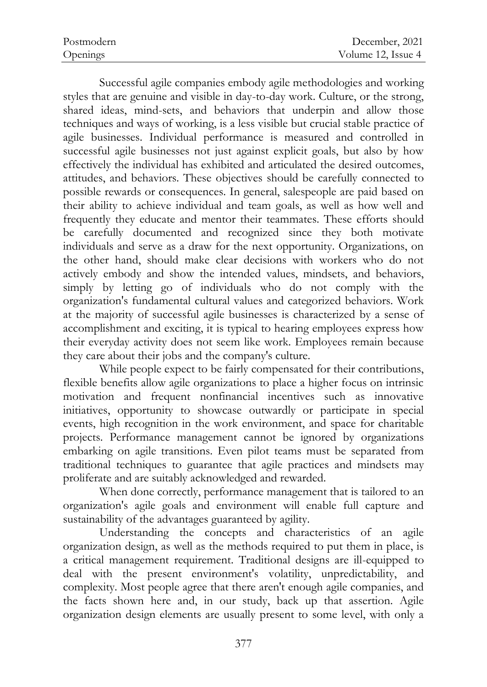| Postmodern | December, 2021     |
|------------|--------------------|
| Openings   | Volume 12, Issue 4 |

Successful agile companies embody agile methodologies and working styles that are genuine and visible in day-to-day work. Culture, or the strong, shared ideas, mind-sets, and behaviors that underpin and allow those techniques and ways of working, is a less visible but crucial stable practice of agile businesses. Individual performance is measured and controlled in successful agile businesses not just against explicit goals, but also by how effectively the individual has exhibited and articulated the desired outcomes, attitudes, and behaviors. These objectives should be carefully connected to possible rewards or consequences. In general, salespeople are paid based on their ability to achieve individual and team goals, as well as how well and frequently they educate and mentor their teammates. These efforts should be carefully documented and recognized since they both motivate individuals and serve as a draw for the next opportunity. Organizations, on the other hand, should make clear decisions with workers who do not actively embody and show the intended values, mindsets, and behaviors, simply by letting go of individuals who do not comply with the organization's fundamental cultural values and categorized behaviors. Work at the majority of successful agile businesses is characterized by a sense of accomplishment and exciting, it is typical to hearing employees express how their everyday activity does not seem like work. Employees remain because they care about their jobs and the company's culture.

While people expect to be fairly compensated for their contributions, flexible benefits allow agile organizations to place a higher focus on intrinsic motivation and frequent nonfinancial incentives such as innovative initiatives, opportunity to showcase outwardly or participate in special events, high recognition in the work environment, and space for charitable projects. Performance management cannot be ignored by organizations embarking on agile transitions. Even pilot teams must be separated from traditional techniques to guarantee that agile practices and mindsets may proliferate and are suitably acknowledged and rewarded.

When done correctly, performance management that is tailored to an organization's agile goals and environment will enable full capture and sustainability of the advantages guaranteed by agility.

Understanding the concepts and characteristics of an agile organization design, as well as the methods required to put them in place, is a critical management requirement. Traditional designs are ill-equipped to deal with the present environment's volatility, unpredictability, and complexity. Most people agree that there aren't enough agile companies, and the facts shown here and, in our study, back up that assertion. Agile organization design elements are usually present to some level, with only a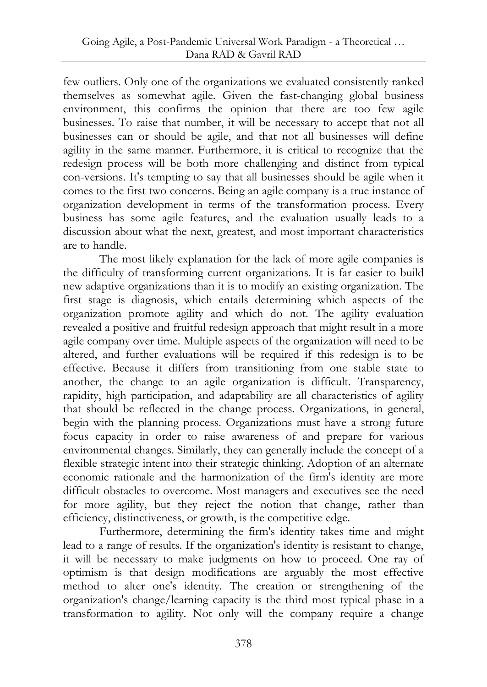few outliers. Only one of the organizations we evaluated consistently ranked themselves as somewhat agile. Given the fast-changing global business environment, this confirms the opinion that there are too few agile businesses. To raise that number, it will be necessary to accept that not all businesses can or should be agile, and that not all businesses will define agility in the same manner. Furthermore, it is critical to recognize that the redesign process will be both more challenging and distinct from typical con-versions. It's tempting to say that all businesses should be agile when it comes to the first two concerns. Being an agile company is a true instance of organization development in terms of the transformation process. Every business has some agile features, and the evaluation usually leads to a discussion about what the next, greatest, and most important characteristics are to handle.

The most likely explanation for the lack of more agile companies is the difficulty of transforming current organizations. It is far easier to build new adaptive organizations than it is to modify an existing organization. The first stage is diagnosis, which entails determining which aspects of the organization promote agility and which do not. The agility evaluation revealed a positive and fruitful redesign approach that might result in a more agile company over time. Multiple aspects of the organization will need to be altered, and further evaluations will be required if this redesign is to be effective. Because it differs from transitioning from one stable state to another, the change to an agile organization is difficult. Transparency, rapidity, high participation, and adaptability are all characteristics of agility that should be reflected in the change process. Organizations, in general, begin with the planning process. Organizations must have a strong future focus capacity in order to raise awareness of and prepare for various environmental changes. Similarly, they can generally include the concept of a flexible strategic intent into their strategic thinking. Adoption of an alternate economic rationale and the harmonization of the firm's identity are more difficult obstacles to overcome. Most managers and executives see the need for more agility, but they reject the notion that change, rather than efficiency, distinctiveness, or growth, is the competitive edge.

Furthermore, determining the firm's identity takes time and might lead to a range of results. If the organization's identity is resistant to change, it will be necessary to make judgments on how to proceed. One ray of optimism is that design modifications are arguably the most effective method to alter one's identity. The creation or strengthening of the organization's change/learning capacity is the third most typical phase in a transformation to agility. Not only will the company require a change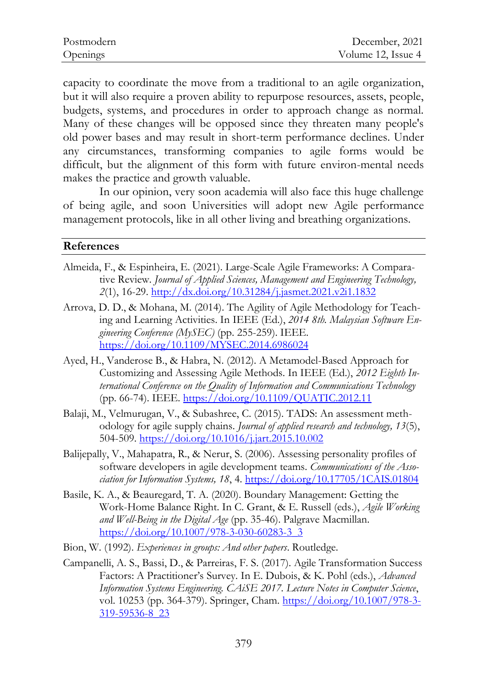| Postmodern | December, 2021     |
|------------|--------------------|
| Openings   | Volume 12, Issue 4 |

capacity to coordinate the move from a traditional to an agile organization, but it will also require a proven ability to repurpose resources, assets, people, budgets, systems, and procedures in order to approach change as normal. Many of these changes will be opposed since they threaten many people's old power bases and may result in short-term performance declines. Under any circumstances, transforming companies to agile forms would be difficult, but the alignment of this form with future environ-mental needs makes the practice and growth valuable.

In our opinion, very soon academia will also face this huge challenge of being agile, and soon Universities will adopt new Agile performance management protocols, like in all other living and breathing organizations.

#### **References**

- Almeida, F., & Espinheira, E. (2021). Large-Scale Agile Frameworks: A Comparative Review. *Journal of Applied Sciences, Management and Engineering Technology, 2*(1), 16-29.<http://dx.doi.org/10.31284/j.jasmet.2021.v2i1.1832>
- Arrova, D. D., & Mohana, M. (2014). The Agility of Agile Methodology for Teaching and Learning Activities. In IEEE (Ed.), *2014 8th. Malaysian Software Engineering Conference (MySEC)* (pp. 255-259). IEEE. <https://doi.org/10.1109/MYSEC.2014.6986024>
- Ayed, H., Vanderose B., & Habra, N. (2012). A Metamodel-Based Approach for Customizing and Assessing Agile Methods. In IEEE (Ed.), *2012 Eighth International Conference on the Quality of Information and Communications Technology* (pp. 66-74). IEEE.<https://doi.org/10.1109/QUATIC.2012.11>
- Balaji, M., Velmurugan, V., & Subashree, C. (2015). TADS: An assessment methodology for agile supply chains. *Journal of applied research and technology, 13*(5), 504-509.<https://doi.org/10.1016/j.jart.2015.10.002>
- Balijepally, V., Mahapatra, R., & Nerur, S. (2006). Assessing personality profiles of software developers in agile development teams. *Communications of the Association for Information Systems, 18*, 4.<https://doi.org/10.17705/1CAIS.01804>
- Basile, K. A., & Beauregard, T. A. (2020). Boundary Management: Getting the Work-Home Balance Right. In C. Grant, & E. Russell (eds.), *Agile Working and Well-Being in the Digital Age* (pp. 35-46). Palgrave Macmillan. [https://doi.org/10.1007/978-3-030-60283-3\\_3](https://doi.org/10.1007/978-3-030-60283-3_3)
- Bion, W. (1992). *Experiences in groups: And other papers*. Routledge.
- Campanelli, A. S., Bassi, D., & Parreiras, F. S. (2017). Agile Transformation Success Factors: A Practitioner's Survey. In E. Dubois, & K. Pohl (eds.), *Advanced Information Systems Engineering. CAiSE 2017. Lecture Notes in Computer Science*, vol. 10253 (pp. 364-379). Springer, Cham. [https://doi.org/10.1007/978-3-](https://doi.org/10.1007/978-3-319-59536-8_23) [319-59536-8\\_23](https://doi.org/10.1007/978-3-319-59536-8_23)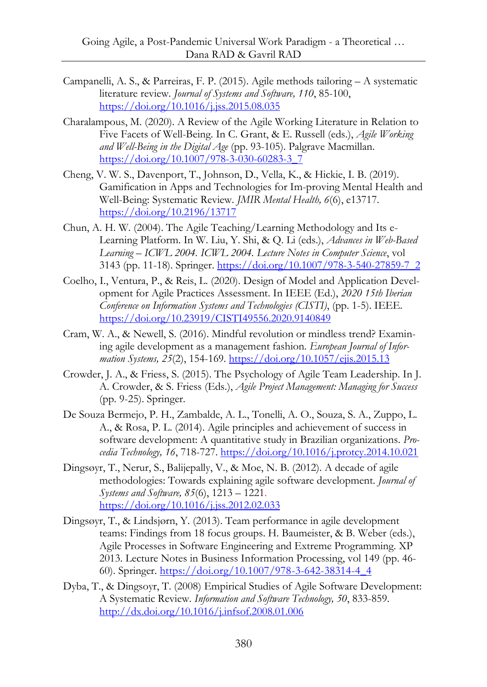- Campanelli, A. S., & Parreiras, F. P. (2015). Agile methods tailoring A systematic literature review. *Journal of Systems and Software, 110*, 85-100, <https://doi.org/10.1016/j.jss.2015.08.035>
- Charalampous, M. (2020). A Review of the Agile Working Literature in Relation to Five Facets of Well-Being. In C. Grant, & E. Russell (eds.), *Agile Working and Well-Being in the Digital Age* (pp. 93-105). Palgrave Macmillan. [https://doi.org/10.1007/978-3-030-60283-3\\_7](https://doi.org/10.1007/978-3-030-60283-3_7)
- Cheng, V. W. S., Davenport, T., Johnson, D., Vella, K., & Hickie, I. B. (2019). Gamification in Apps and Technologies for Im-proving Mental Health and Well-Being: Systematic Review. *JMIR Mental Health, 6*(6), e13717. <https://doi.org/10.2196/13717>
- Chun, A. H. W. (2004). The Agile Teaching/Learning Methodology and Its e-Learning Platform. In W. Liu, Y. Shi, & Q. Li (eds.), *Advances in Web-Based Learning – ICWL 2004. ICWL 2004. Lecture Notes in Computer Science*, vol 3143 (pp. 11-18). Springer[. https://doi.org/10.1007/978-3-540-27859-7\\_2](https://doi.org/10.1007/978-3-540-27859-7_2)
- Coelho, I., Ventura, P., & Reis, L. (2020). Design of Model and Application Development for Agile Practices Assessment. In IEEE (Ed.), *2020 15th Iberian Conference on Information Systems and Technologies (CISTI)*, (pp. 1-5). IEEE. <https://doi.org/10.23919/CISTI49556.2020.9140849>
- Cram, W. A., & Newell, S. (2016). Mindful revolution or mindless trend? Examining agile development as a management fashion. *European Journal of Information Systems, 25*(2), 154-169.<https://doi.org/10.1057/ejis.2015.13>
- Crowder, J. A., & Friess, S. (2015). The Psychology of Agile Team Leadership. In J. A. Crowder, & S. Friess (Eds.), *Agile Project Management: Managing for Success* (pp. 9-25). Springer.
- De Souza Bermejo, P. H., Zambalde, A. L., Tonelli, A. O., Souza, S. A., Zuppo, L. A., & Rosa, P. L. (2014). Agile principles and achievement of success in software development: A quantitative study in Brazilian organizations. *Procedia Technology, 16*, 718-727.<https://doi.org/10.1016/j.protcy.2014.10.021>
- Dingsøyr, T., Nerur, S., Balijepally, V., & Moe, N. B. (2012). A decade of agile methodologies: Towards explaining agile software development. *Journal of Systems and Software, 85*(6), 1213 – 1221. <https://doi.org/10.1016/j.jss.2012.02.033>
- Dingsøyr, T., & Lindsjørn, Y. (2013). Team performance in agile development teams: Findings from 18 focus groups. H. Baumeister, & B. Weber (eds.), Agile Processes in Software Engineering and Extreme Programming. XP 2013. Lecture Notes in Business Information Processing, vol 149 (pp. 46- 60). Springer. [https://doi.org/10.1007/978-3-642-38314-4\\_4](https://doi.org/10.1007/978-3-642-38314-4_4)
- Dyba, T., & Dingsoyr, T. (2008) Empirical Studies of Agile Software Development: A Systematic Review. *Information and Software Technology, 50*, 833-859. <http://dx.doi.org/10.1016/j.infsof.2008.01.006>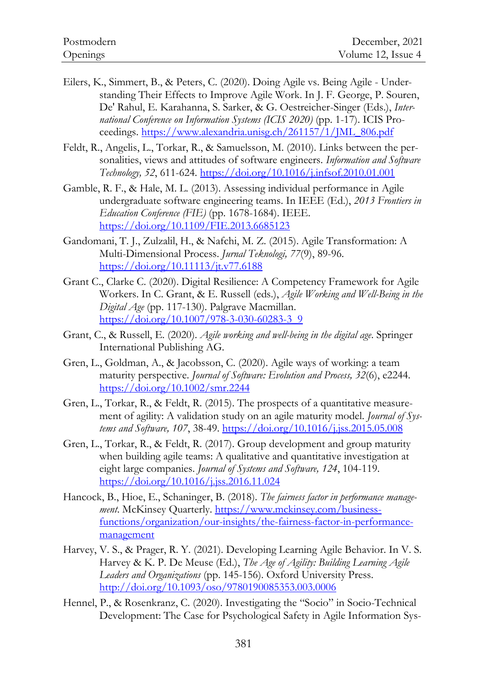- Eilers, K., Simmert, B., & Peters, C. (2020). Doing Agile vs. Being Agile Understanding Their Effects to Improve Agile Work. In J. F. George, P. Souren, De' Rahul, E. Karahanna, S. Sarker, & G. Oestreicher-Singer (Eds.), *International Conference on Information Systems (ICIS 2020)* (pp. 1-17). ICIS Proceedings. [https://www.alexandria.unisg.ch/261157/1/JML\\_806.pdf](https://www.alexandria.unisg.ch/261157/1/JML_806.pdf)
- Feldt, R., Angelis, L., Torkar, R., & Samuelsson, M. (2010). Links between the personalities, views and attitudes of software engineers. *Information and Software Technology, 52*, 611-624.<https://doi.org/10.1016/j.infsof.2010.01.001>
- Gamble, R. F., & Hale, M. L. (2013). Assessing individual performance in Agile undergraduate software engineering teams. In IEEE (Ed.), *2013 Frontiers in Education Conference (FIE)* (pp. 1678-1684). IEEE. <https://doi.org/10.1109/FIE.2013.6685123>
- Gandomani, T. J., Zulzalil, H., & Nafchi, M. Z. (2015). Agile Transformation: A Multi-Dimensional Process. *Jurnal Teknologi, 77*(9), 89-96. <https://doi.org/10.11113/jt.v77.6188>
- Grant C., Clarke C. (2020). Digital Resilience: A Competency Framework for Agile Workers. In C. Grant, & E. Russell (eds.), *Agile Working and Well-Being in the Digital Age* (pp. 117-130). Palgrave Macmillan. https://doi.org/10.1007/978-3-030-60283-3\_9
- Grant, C., & Russell, E. (2020). *Agile working and well-being in the digital age*. Springer International Publishing AG.
- Gren, L., Goldman, A., & Jacobsson, C. (2020). Agile ways of working: a team maturity perspective. *Journal of Software: Evolution and Process, 32*(6), e2244. <https://doi.org/10.1002/smr.2244>
- Gren, L., Torkar, R., & Feldt, R. (2015). The prospects of a quantitative measurement of agility: A validation study on an agile maturity model. *Journal of Systems and Software, 107*, 38-49.<https://doi.org/10.1016/j.jss.2015.05.008>
- Gren, L., Torkar, R., & Feldt, R. (2017). Group development and group maturity when building agile teams: A qualitative and quantitative investigation at eight large companies. *Journal of Systems and Software, 124*, 104-119. <https://doi.org/10.1016/j.jss.2016.11.024>
- Hancock, B., Hioe, E., Schaninger, B. (2018). *The fairness factor in performance management*. McKinsey Quarterly[. https://www.mckinsey.com/business](https://www.mckinsey.com/business-functions/organization/our-insights/the-fairness-factor-in-performance-management)[functions/organization/our-insights/the-fairness-factor-in-performance](https://www.mckinsey.com/business-functions/organization/our-insights/the-fairness-factor-in-performance-management)[management](https://www.mckinsey.com/business-functions/organization/our-insights/the-fairness-factor-in-performance-management)
- Harvey, V. S., & Prager, R. Y. (2021). Developing Learning Agile Behavior. In V. S. Harvey & K. P. De Meuse (Ed.), *The Age of Agility: Building Learning Agile Leaders and Organizations* (pp. 145-156). Oxford University Press. <http://doi.org/10.1093/oso/9780190085353.003.0006>
- Hennel, P., & Rosenkranz, C. (2020). Investigating the "Socio" in Socio-Technical Development: The Case for Psychological Safety in Agile Information Sys-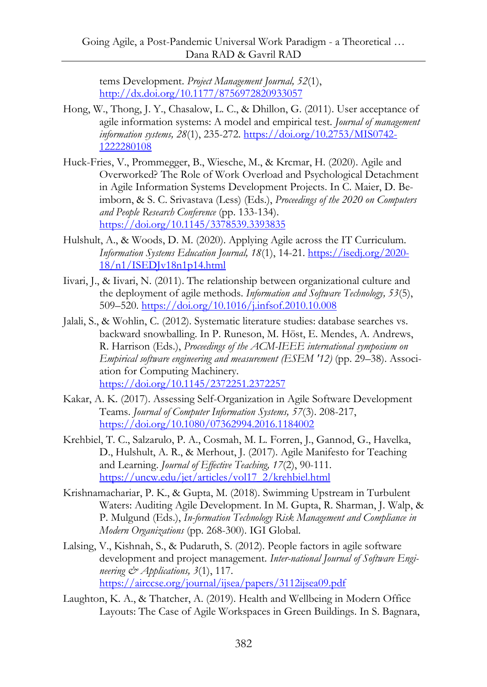tems Development. *Project Management Journal, 52*(1), <http://dx.doi.org/10.1177/8756972820933057>

- Hong, W., Thong, J. Y., Chasalow, L. C., & Dhillon, G. (2011). User acceptance of agile information systems: A model and empirical test. *Journal of management information systems, 28*(1), 235-272. [https://doi.org/10.2753/MIS0742-](https://doi.org/10.2753/MIS0742-1222280108) [1222280108](https://doi.org/10.2753/MIS0742-1222280108)
- Huck-Fries, V., Prommegger, B., Wiesche, M., & Krcmar, H. (2020). Agile and Overworked? The Role of Work Overload and Psychological Detachment in Agile Information Systems Development Projects. In C. Maier, D. Beimborn, & S. C. Srivastava (Less) (Eds.), *Proceedings of the 2020 on Computers and People Research Conference* (pp. 133-134). <https://doi.org/10.1145/3378539.3393835>
- Hulshult, A., & Woods, D. M. (2020). Applying Agile across the IT Curriculum. *Information Systems Education Journal, 18*(1), 14-21[. https://isedj.org/2020-](https://isedj.org/2020-18/n1/ISEDJv18n1p14.html) [18/n1/ISEDJv18n1p14.html](https://isedj.org/2020-18/n1/ISEDJv18n1p14.html)
- Iivari, J., & Iivari, N. (2011). The relationship between organizational culture and the deployment of agile methods. *Information and Software Technology, 53*(5), 509–520.<https://doi.org/10.1016/j.infsof.2010.10.008>
- Jalali, S., & Wohlin, C. (2012). Systematic literature studies: database searches vs. backward snowballing. In P. Runeson, M. Höst, E. Mendes, A. Andrews, R. Harrison (Eds.), *Proceedings of the ACM-IEEE international symposium on Empirical software engineering and measurement (ESEM '12)* (pp. 29–38). Association for Computing Machinery. <https://doi.org/10.1145/2372251.2372257>
- Kakar, A. K. (2017). Assessing Self-Organization in Agile Software Development Teams. *Journal of Computer Information Systems, 57*(3). 208-217, <https://doi.org/10.1080/07362994.2016.1184002>
- Krehbiel, T. C., Salzarulo, P. A., Cosmah, M. L. Forren, J., Gannod, G., Havelka, D., Hulshult, A. R., & Merhout, J. (2017). Agile Manifesto for Teaching and Learning. *Journal of Effective Teaching, 17*(2), 90-111. [https://uncw.edu/jet/articles/vol17\\_2/krehbiel.html](https://uncw.edu/jet/articles/vol17_2/krehbiel.html)
- Krishnamachariar, P. K., & Gupta, M. (2018). Swimming Upstream in Turbulent Waters: Auditing Agile Development. In M. Gupta, R. Sharman, J. Walp, & P. Mulgund (Eds.), *In-formation Technology Risk Management and Compliance in Modern Organizations* (pp. 268-300). IGI Global.
- Lalsing, V., Kishnah, S., & Pudaruth, S. (2012). People factors in agile software development and project management. *Inter-national Journal of Software Engineering & Applications, 3*(1), 117. <https://airccse.org/journal/ijsea/papers/3112ijsea09.pdf>
- Laughton, K. A., & Thatcher, A. (2019). Health and Wellbeing in Modern Office Layouts: The Case of Agile Workspaces in Green Buildings. In S. Bagnara,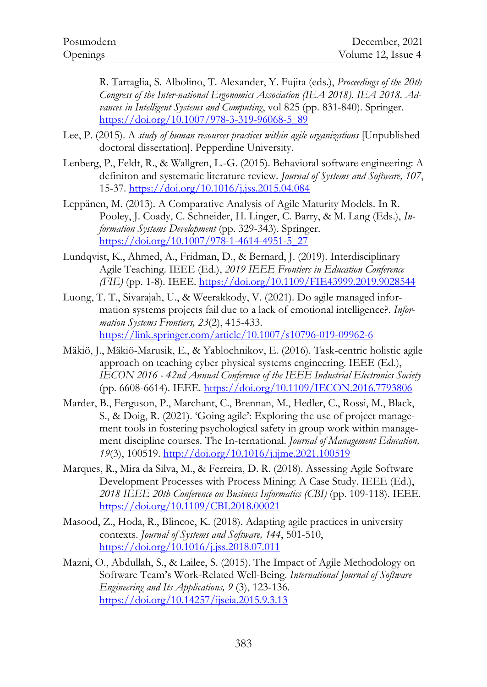R. Tartaglia, S. Albolino, T. Alexander, Y. Fujita (eds.), *Proceedings of the 20th Congress of the Inter-national Ergonomics Association (IEA 2018). IEA 2018. Advances in Intelligent Systems and Computing*, vol 825 (pp. 831-840). Springer. [https://doi.org/10.1007/978-3-319-96068-5\\_89](https://doi.org/10.1007/978-3-319-96068-5_89) 

- Lee, P. (2015). A *study of human resources practices within agile organizations* [Unpublished doctoral dissertation]. Pepperdine University.
- Lenberg, P., Feldt, R., & Wallgren, L.-G. (2015). Behavioral software engineering: A definiton and systematic literature review. *Journal of Systems and Software, 107*, 15-37.<https://doi.org/10.1016/j.jss.2015.04.084>
- Leppänen, M. (2013). A Comparative Analysis of Agile Maturity Models. In R. Pooley, J. Coady, C. Schneider, H. Linger, C. Barry, & M. Lang (Eds.), *Information Systems Development* (pp. 329-343). Springer. [https://doi.org/10.1007/978-1-4614-4951-5\\_27](https://doi.org/10.1007/978-1-4614-4951-5_27)
- Lundqvist, K., Ahmed, A., Fridman, D., & Bernard, J. (2019). Interdisciplinary Agile Teaching. IEEE (Ed.), *2019 IEEE Frontiers in Education Conference (FIE)* (pp. 1-8). IEEE.<https://doi.org/10.1109/FIE43999.2019.9028544>
- Luong, T. T., Sivarajah, U., & Weerakkody, V. (2021). Do agile managed information systems projects fail due to a lack of emotional intelligence?. *Information Systems Frontiers, 23*(2), 415-433. <https://link.springer.com/article/10.1007/s10796-019-09962-6>
- Mäkiö, J., Mäkiö-Marusik, E., & Yablochnikov, E. (2016). Task-centric holistic agile approach on teaching cyber physical systems engineering. IEEE (Ed.), *IECON 2016 - 42nd Annual Conference of the IEEE Industrial Electronics Society* (pp. 6608-6614). IEEE[. https://doi.org/10.1109/IECON.2016.7793806](https://doi.org/10.1109/IECON.2016.7793806)
- Marder, B., Ferguson, P., Marchant, C., Brennan, M., Hedler, C., Rossi, M., Black, S., & Doig, R. (2021). 'Going agile': Exploring the use of project management tools in fostering psychological safety in group work within management discipline courses. The In-ternational. *Journal of Management Education, 19*(3), 100519.<http://doi.org/10.1016/j.ijme.2021.100519>
- Marques, R., Mira da Silva, M., & Ferreira, D. R. (2018). Assessing Agile Software Development Processes with Process Mining: A Case Study. IEEE (Ed.), *2018 IEEE 20th Conference on Business Informatics (CBI)* (pp. 109-118). IEEE. <https://doi.org/10.1109/CBI.2018.00021>
- Masood, Z., Hoda, R., Blincoe, K. (2018). Adapting agile practices in university contexts. *Journal of Systems and Software, 144*, 501-510, <https://doi.org/10.1016/j.jss.2018.07.011>
- Mazni, O., Abdullah, S., & Lailee, S. (2015). The Impact of Agile Methodology on Software Team's Work-Related Well-Being. *International Journal of Software Engineering and Its Applications, 9* (3), 123-136. <https://doi.org/10.14257/ijseia.2015.9.3.13>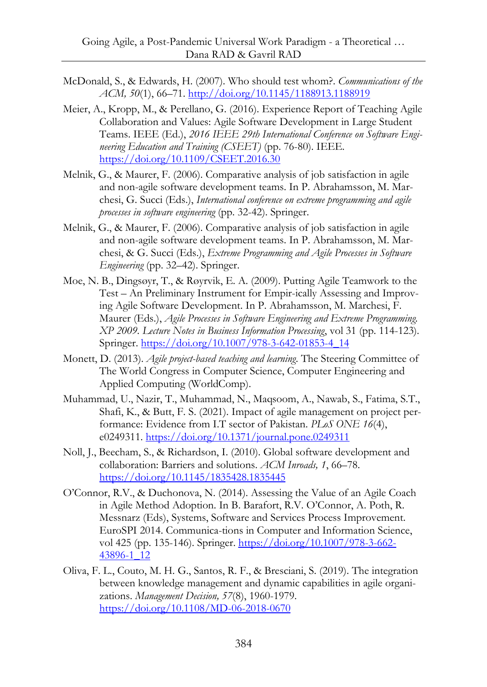- McDonald, S., & Edwards, H. (2007). Who should test whom?. *Communications of the ACM, 50*(1), 66–71.<http://doi.org/10.1145/1188913.1188919>
- Meier, A., Kropp, M., & Perellano, G. (2016). Experience Report of Teaching Agile Collaboration and Values: Agile Software Development in Large Student Teams. IEEE (Ed.), *2016 IEEE 29th International Conference on Software Engineering Education and Training (CSEET)* (pp. 76-80). IEEE. <https://doi.org/10.1109/CSEET.2016.30>
- Melnik, G., & Maurer, F. (2006). Comparative analysis of job satisfaction in agile and non-agile software development teams. In P. Abrahamsson, M. Marchesi, G. Succi (Eds.), *International conference on extreme programming and agile processes in software engineering* (pp. 32-42). Springer.
- Melnik, G., & Maurer, F. (2006). Comparative analysis of job satisfaction in agile and non-agile software development teams. In P. Abrahamsson, M. Marchesi, & G. Succi (Eds.), *Extreme Programming and Agile Processes in Software Engineering* (pp. 32–42). Springer.
- Moe, N. B., Dingsøyr, T., & Røyrvik, E. A. (2009). Putting Agile Teamwork to the Test – An Preliminary Instrument for Empir-ically Assessing and Improving Agile Software Development. In P. Abrahamsson, M. Marchesi, F. Maurer (Eds.), *Agile Processes in Software Engineering and Extreme Programming. XP 2009. Lecture Notes in Business Information Processing*, vol 31 (pp. 114-123). Springer. [https://doi.org/10.1007/978-3-642-01853-4\\_14](https://doi.org/10.1007/978-3-642-01853-4_14)
- Monett, D. (2013). *Agile project-based teaching and learning*. The Steering Committee of The World Congress in Computer Science, Computer Engineering and Applied Computing (WorldComp).
- Muhammad, U., Nazir, T., Muhammad, N., Maqsoom, A., Nawab, S., Fatima, S.T., Shafi, K., & Butt, F. S. (2021). Impact of agile management on project performance: Evidence from I.T sector of Pakistan. *PLoS ONE 16*(4), e0249311.<https://doi.org/10.1371/journal.pone.0249311>
- Noll, J., Beecham, S., & Richardson, I. (2010). Global software development and collaboration: Barriers and solutions. *ACM Inroads, 1*, 66–78. <https://doi.org/10.1145/1835428.1835445>
- O'Connor, R.V., & Duchonova, N. (2014). Assessing the Value of an Agile Coach in Agile Method Adoption. In B. Barafort, R.V. O'Connor, A. Poth, R. Messnarz (Eds), Systems, Software and Services Process Improvement. EuroSPI 2014. Communica-tions in Computer and Information Science, vol 425 (pp. 135-146). Springer. [https://doi.org/10.1007/978-3-662-](https://doi.org/10.1007/978-3-662-43896-1_12) [43896-1\\_12](https://doi.org/10.1007/978-3-662-43896-1_12)
- Oliva, F. L., Couto, M. H. G., Santos, R. F., & Bresciani, S. (2019). The integration between knowledge management and dynamic capabilities in agile organizations. *Management Decision, 57*(8), 1960-1979. <https://doi.org/10.1108/MD-06-2018-0670>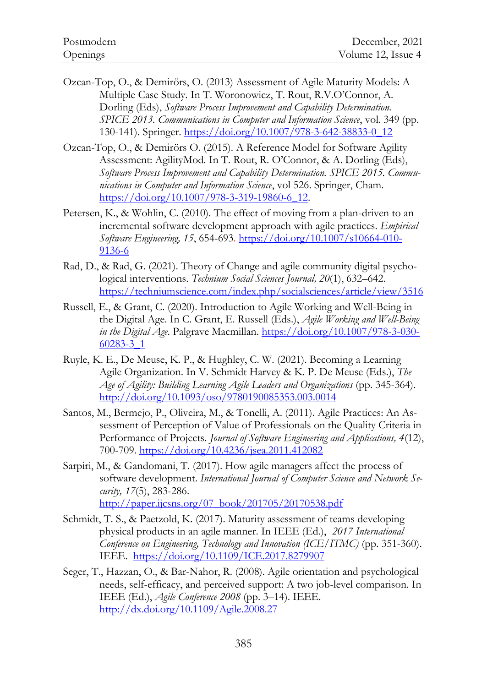- Ozcan-Top, O., & Demirörs, O. (2013) Assessment of Agile Maturity Models: A Multiple Case Study. In T. Woronowicz, T. Rout, R.V.O'Connor, A. Dorling (Eds), *Software Process Improvement and Capability Determination. SPICE 2013. Communications in Computer and Information Science*, vol. 349 (pp. 130-141). Springer. [https://doi.org/10.1007/978-3-642-38833-0\\_12](https://doi.org/10.1007/978-3-642-38833-0_12)
- Ozcan-Top, O., & Demirörs O. (2015). A Reference Model for Software Agility Assessment: AgilityMod. In T. Rout, R. O'Connor, & A. Dorling (Eds), *Software Process Improvement and Capability Determination. SPICE 2015. Communications in Computer and Information Science*, vol 526. Springer, Cham. [https://doi.org/10.1007/978-3-319-19860-6\\_12.](https://doi.org/10.1007/978-3-319-19860-6_12)
- Petersen, K., & Wohlin, C. (2010). The effect of moving from a plan-driven to an incremental software development approach with agile practices. *Empirical Software Engineering, 15*, 654-693. [https://doi.org/10.1007/s10664-010-](https://doi.org/10.1007/s10664-010-9136-6) [9136-6](https://doi.org/10.1007/s10664-010-9136-6)
- Rad, D., & Rad, G. (2021). Theory of Change and agile community digital psychological interventions. *Technium Social Sciences Journal, 20*(1), 632–642. <https://techniumscience.com/index.php/socialsciences/article/view/3516>
- Russell, E., & Grant, C. (2020). Introduction to Agile Working and Well-Being in the Digital Age. In C. Grant, E. Russell (Eds.), *Agile Working and Well-Being in the Digital Age*. Palgrave Macmillan. [https://doi.org/10.1007/978-3-030-](https://doi.org/10.1007/978-3-030-60283-3_1) [60283-3\\_1](https://doi.org/10.1007/978-3-030-60283-3_1)
- Ruyle, K. E., De Meuse, K. P., & Hughley, C. W. (2021). Becoming a Learning Agile Organization. In V. Schmidt Harvey & K. P. De Meuse (Eds.), *The Age of Agility: Building Learning Agile Leaders and Organizations* (pp. 345-364). <http://doi.org/10.1093/oso/9780190085353.003.0014>
- Santos, M., Bermejo, P., Oliveira, M., & Tonelli, A. (2011). Agile Practices: An Assessment of Perception of Value of Professionals on the Quality Criteria in Performance of Projects. *Journal of Software Engineering and Applications, 4*(12), 700-709.<https://doi.org/10.4236/jsea.2011.412082>
- Sarpiri, M., & Gandomani, T. (2017). How agile managers affect the process of software development. *International Journal of Computer Science and Network Security, 17*(5), 283-286. [http://paper.ijcsns.org/07\\_book/201705/20170538.pdf](http://paper.ijcsns.org/07_book/201705/20170538.pdf)
- Schmidt, T. S., & Paetzold, K. (2017). Maturity assessment of teams developing physical products in an agile manner. In IEEE (Ed.), *2017 International Conference on Engineering, Technology and Innovation (ICE/ITMC)* (pp. 351-360). IEEE. <https://doi.org/10.1109/ICE.2017.8279907>
- Seger, T., Hazzan, O., & Bar-Nahor, R. (2008). Agile orientation and psychological needs, self-efficacy, and perceived support: A two job-level comparison. In IEEE (Ed.), *Agile Conference 2008* (pp. 3–14). IEEE. <http://dx.doi.org/10.1109/Agile.2008.27>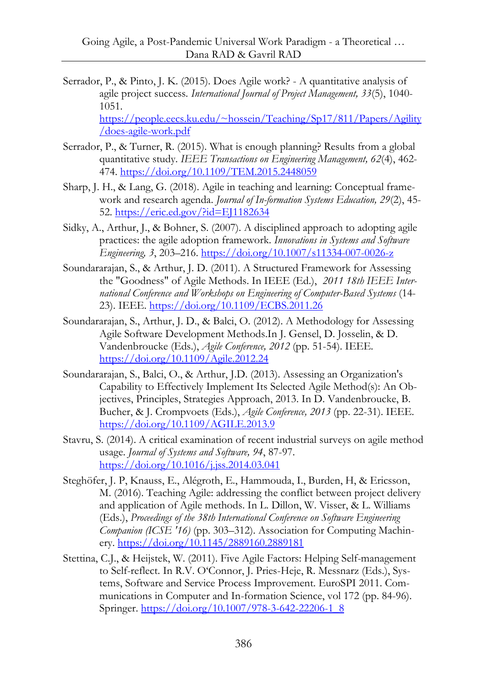- Serrador, P., & Pinto, J. K. (2015). Does Agile work? A quantitative analysis of agile project success*. International Journal of Project Management, 33*(5), 1040- 1051. [https://people.eecs.ku.edu/~hossein/Teaching/Sp17/811/Papers/Agility](https://people.eecs.ku.edu/~hossein/Teaching/Sp17/811/Papers/Agility/does-agile-work.pdf) [/does-agile-work.pdf](https://people.eecs.ku.edu/~hossein/Teaching/Sp17/811/Papers/Agility/does-agile-work.pdf)
- Serrador, P., & Turner, R. (2015). What is enough planning? Results from a global quantitative study. *IEEE Transactions on Engineering Management, 62*(4), 462- 474.<https://doi.org/10.1109/TEM.2015.2448059>
- Sharp, J. H., & Lang, G. (2018). Agile in teaching and learning: Conceptual framework and research agenda. *Journal of In-formation Systems Education, 29*(2), 45- 52.<https://eric.ed.gov/?id=EJ1182634>
- Sidky, A., Arthur, J., & Bohner, S. (2007). A disciplined approach to adopting agile practices: the agile adoption framework. *Innovations in Systems and Software Engineering, 3*, 203–216.<https://doi.org/10.1007/s11334-007-0026-z>
- Soundararajan, S., & Arthur, J. D. (2011). A Structured Framework for Assessing the "Goodness" of Agile Methods. In IEEE (Ed.), *2011 18th IEEE International Conference and Workshops on Engineering of Computer-Based Systems* (14- 23). IEEE[. https://doi.org/10.1109/ECBS.2011.26](https://doi.org/10.1109/ECBS.2011.26)
- Soundararajan, S., Arthur, J. D., & Balci, O. (2012). A Methodology for Assessing Agile Software Development Methods.In J. Gensel, D. Josselin, & D. Vandenbroucke (Eds.), *Agile Conference, 2012* (pp. 51-54). IEEE. <https://doi.org/10.1109/Agile.2012.24>
- Soundararajan, S., Balci, O., & Arthur, J.D. (2013). Assessing an Organization's Capability to Effectively Implement Its Selected Agile Method(s): An Objectives, Principles, Strategies Approach, 2013. In D. Vandenbroucke, B. Bucher, & J. Crompvoets (Eds.), *Agile Conference, 2013* (pp. 22-31). IEEE. <https://doi.org/10.1109/AGILE.2013.9>
- Stavru, S. (2014). A critical examination of recent industrial surveys on agile method usage. *Journal of Systems and Software, 94*, 87-97. <https://doi.org/10.1016/j.jss.2014.03.041>
- Steghöfer, J. P, Knauss, E., Alégroth, E., Hammouda, I., Burden, H, & Ericsson, M. (2016). Teaching Agile: addressing the conflict between project delivery and application of Agile methods. In L. Dillon, W. Visser, & L. Williams (Eds.), *Proceedings of the 38th International Conference on Software Engineering Companion (ICSE '16)* (pp. 303–312). Association for Computing Machinery.<https://doi.org/10.1145/2889160.2889181>
- Stettina, C.J., & Heijstek, W. (2011). Five Agile Factors: Helping Self-management to Self-reflect. In R.V. O'Connor, J. Pries-Heje, R. Messnarz (Eds.), Systems, Software and Service Process Improvement. EuroSPI 2011. Communications in Computer and In-formation Science, vol 172 (pp. 84-96). Springer. [https://doi.org/10.1007/978-3-642-22206-1\\_8](https://doi.org/10.1007/978-3-642-22206-1_8)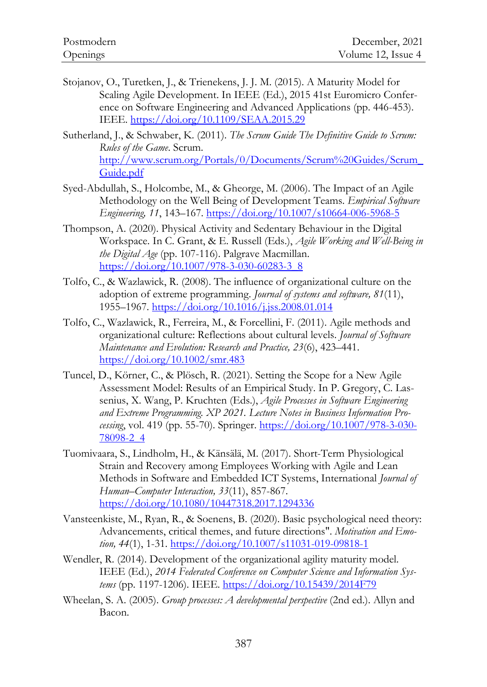- Stojanov, O., Turetken, J., & Trienekens, J. J. M. (2015). A Maturity Model for Scaling Agile Development. In IEEE (Ed.), 2015 41st Euromicro Conference on Software Engineering and Advanced Applications (pp. 446-453). IEEE.<https://doi.org/10.1109/SEAA.2015.29>
- Sutherland, J., & Schwaber, K. (2011). *The Scrum Guide The Definitive Guide to Scrum: Rules of the Game*. Scrum. [http://www.scrum.org/Portals/0/Documents/Scrum%20Guides/Scrum\\_](http://www.scrum.org/Portals/0/Documents/Scrum%20Guides/Scrum_Guide.pdf) [Guide.pdf](http://www.scrum.org/Portals/0/Documents/Scrum%20Guides/Scrum_Guide.pdf)
- Syed-Abdullah, S., Holcombe, M., & Gheorge, M. (2006). The Impact of an Agile Methodology on the Well Being of Development Teams. *Empirical Software Engineering, 11*, 143–167.<https://doi.org/10.1007/s10664-006-5968-5>
- Thompson, A. (2020). Physical Activity and Sedentary Behaviour in the Digital Workspace. In C. Grant, & E. Russell (Eds.), *Agile Working and Well-Being in the Digital Age* (pp. 107-116). Palgrave Macmillan. [https://doi.org/10.1007/978-3-030-60283-3\\_8](https://doi.org/10.1007/978-3-030-60283-3_8)
- Tolfo, C., & Wazlawick, R. (2008). The influence of organizational culture on the adoption of extreme programming. *Journal of systems and software, 81*(11), 1955–1967.<https://doi.org/10.1016/j.jss.2008.01.014>
- Tolfo, C., Wazlawick, R., Ferreira, M., & Forcellini, F. (2011). Agile methods and organizational culture: Reflections about cultural levels. *Journal of Software Maintenance and Evolution: Research and Practice, 23*(6), 423–441. <https://doi.org/10.1002/smr.483>
- Tuncel, D., Körner, C., & Plösch, R. (2021). Setting the Scope for a New Agile Assessment Model: Results of an Empirical Study. In P. Gregory, C. Lassenius, X. Wang, P. Kruchten (Eds.), *Agile Processes in Software Engineering and Extreme Programming. XP 2021. Lecture Notes in Business Information Processing*, vol. 419 (pp. 55-70). Springer[. https://doi.org/10.1007/978-3-030-](https://doi.org/10.1007/978-3-030-78098-2_4) [78098-2\\_4](https://doi.org/10.1007/978-3-030-78098-2_4)
- Tuomivaara, S., Lindholm, H., & Känsälä, M. (2017). Short-Term Physiological Strain and Recovery among Employees Working with Agile and Lean Methods in Software and Embedded ICT Systems, International *Journal of Human–Computer Interaction, 33*(11), 857-867. <https://doi.org/10.1080/10447318.2017.1294336>
- Vansteenkiste, M., Ryan, R., & Soenens, B. (2020). Basic psychological need theory: Advancements, critical themes, and future directions". *Motivation and Emotion, 44*(1), 1-31.<https://doi.org/10.1007/s11031-019-09818-1>
- Wendler, R. (2014). Development of the organizational agility maturity model. IEEE (Ed.), *2014 Federated Conference on Computer Science and Information Systems* (pp. 1197-1206). IEEE.<https://doi.org/10.15439/2014F79>
- Wheelan, S. A. (2005). *Group processes: A developmental perspective* (2nd ed.). Allyn and Bacon.